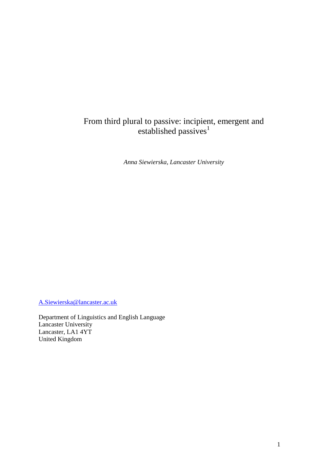# From third plural to passive: incipient, emergent and established passives<sup>1</sup>

*Anna Siewierska, Lancaster University* 

[A.Siewierska@lancaster.ac.uk](mailto:A.Siewierska@lancaster.ac.uk)

Department of Linguistics and English Language Lancaster University Lancaster, LA1 4YT United Kingdom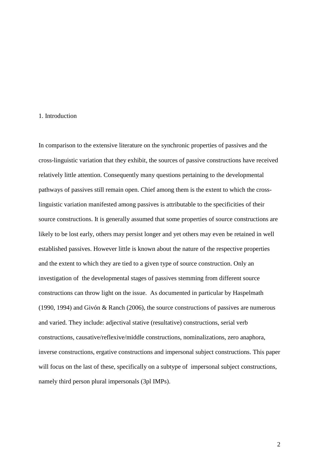## 1. Introduction

In comparison to the extensive literature on the synchronic properties of passives and the cross-linguistic variation that they exhibit, the sources of passive constructions have received relatively little attention. Consequently many questions pertaining to the developmental pathways of passives still remain open. Chief among them is the extent to which the crosslinguistic variation manifested among passives is attributable to the specificities of their source constructions. It is generally assumed that some properties of source constructions are likely to be lost early, others may persist longer and yet others may even be retained in well established passives. However little is known about the nature of the respective properties and the extent to which they are tied to a given type of source construction. Only an investigation of the developmental stages of passives stemming from different source constructions can throw light on the issue. As documented in particular by Haspelmath (1990, 1994) and Givón & Ranch (2006), the source constructions of passives are numerous and varied. They include: adjectival stative (resultative) constructions, serial verb constructions, causative/reflexive/middle constructions, nominalizations, zero anaphora, inverse constructions, ergative constructions and impersonal subject constructions. This paper will focus on the last of these, specifically on a subtype of impersonal subject constructions, namely third person plural impersonals (3pl IMPs).

 $\mathfrak{D}$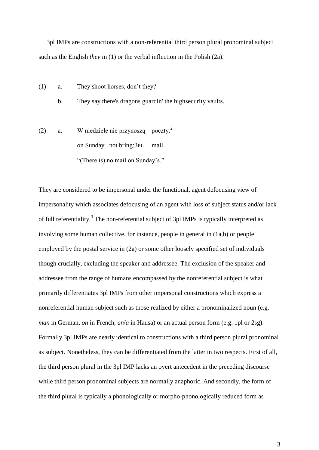3pl IMPs are constructions with a non-referential third person plural pronominal subject such as the English *they* in (1) or the verbal inflection in the Polish (2a).

(1) a. They shoot horses, don"t they?

b. They say there's dragons guardin' the highsecurity vaults.

(2) a. W niedziele nie przynoszą poczty.<sup>2</sup> on Sunday not bring:3PL mail "(There is) no mail on Sunday's."

They are considered to be impersonal under the functional, agent defocusing view of impersonality which associates defocusing of an agent with loss of subject status and/or lack of full referentiality.<sup>3</sup> The non-referential subject of 3pl IMPs is typically interpreted as involving some human collective, for instance, people in general in (1a,b) or people employed by the postal service in (2a) or some other loosely specified set of individuals though crucially, excluding the speaker and addressee. The exclusion of the speaker and addressee from the range of humans encompassed by the nonreferential subject is what primarily differentiates 3pl IMPs from other impersonal constructions which express a nonreferential human subject such as those realized by either a pronominalized noun (e.g. *man* in German, *on* in French, *an*/*a* in Hausa) or an actual person form (e.g. 1pl or 2sg). Formally 3pl IMPs are nearly identical to constructions with a third person plural pronominal as subject. Nonetheless, they can be differentiated from the latter in two respects. First of all, the third person plural in the 3pl IMP lacks an overt antecedent in the preceding discourse while third person pronominal subjects are normally anaphoric. And secondly, the form of the third plural is typically a phonologically or morpho-phonologically reduced form as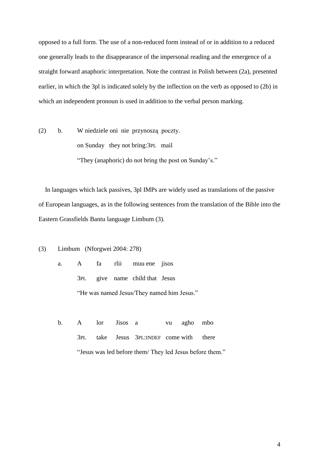opposed to a full form. The use of a non-reduced form instead of or in addition to a reduced one generally leads to the disappearance of the impersonal reading and the emergence of a straight forward anaphoric interpretation. Note the contrast in Polish between (2a), presented earlier, in which the 3pl is indicated solely by the inflection on the verb as opposed to (2b) in which an independent pronoun is used in addition to the verbal person marking.

(2) b. W niedziele oni nie przynoszą poczty. on Sunday they not bring:3PL mail "They (anaphoric) do not bring the post on Sunday"s."

 In languages which lack passives, 3pl IMPs are widely used as translations of the passive of European languages, as in the following sentences from the translation of the Bible into the Eastern Grassfields Bantu language Limbum (3).

(3) Limbum (Nforgwei 2004: 278)

- a. A fa rlii muu ene jisos 3PL give name child that Jesus "He was named Jesus/They named him Jesus."
- b. A lor Jisos a vu agho mbo 3PL take Jesus 3PL:INDEF come with there "Jesus was led before them/ They led Jesus before them."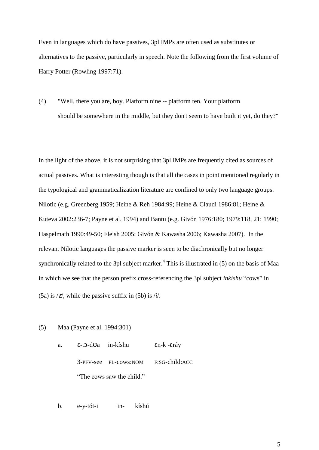Even in languages which do have passives, 3pl IMPs are often used as substitutes or alternatives to the passive, particularly in speech. Note the following from the first volume of Harry Potter (Rowling 1997:71).

(4) "Well, there you are, boy. Platform nine -- platform ten. Your platform should be somewhere in the middle, but they don't seem to have built it yet, do they?"

In the light of the above, it is not surprising that 3pl IMPs are frequently cited as sources of actual passives. What is interesting though is that all the cases in point mentioned regularly in the typological and grammaticalization literature are confined to only two language groups: Nilotic (e.g. Greenberg 1959; Heine & Reh 1984:99; Heine & Claudi 1986:81; Heine & Kuteva 2002:236-7; Payne et al. 1994) and Bantu (e.g. Givón 1976:180; 1979:118, 21; 1990; Haspelmath 1990:49-50; Fleish 2005; Givón & Kawasha 2006; Kawasha 2007). In the relevant Nilotic languages the passive marker is seen to be diachronically but no longer synchronically related to the 3pl subject marker.<sup>4</sup> This is illustrated in  $(5)$  on the basis of Maa in which we see that the person prefix cross-referencing the 3pl subject *inkíshu* "cows" in (5a) is  $\ell \in \mathcal{E}$ , while the passive suffix in (5b) is  $\ell i$ .

- (5) Maa (Payne et al. 1994:301)
	- a. ɛ-tɔ-dʊa in-kíshu ɛn-k -ɛráy 3-PFV-see PL-cows:NOM F:SG-child:ACC "The cows saw the child."

b. e-y-tót-i in- kíshú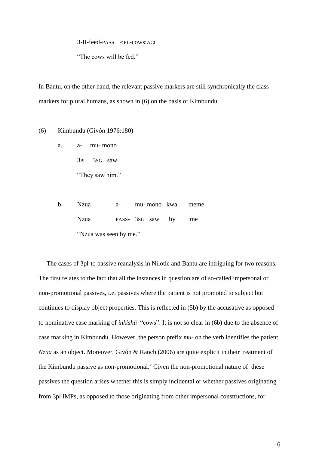3-II-feed-PASS F:PL-cows:ACC

"The cows will be fed."

In Bantu, on the other hand, the relevant passive markers are still synchronically the class markers for plural humans, as shown in (6) on the basis of Kimbundu.

#### (6) Kimbundu (Givón 1976:180)

- a. a- mu- mono 3PL 3SG saw "They saw him."
- b. Nzua a- mu- mono kwa meme Nzua PASS- 3SG saw by me "Nzua was seen by me."

 The cases of 3pl-to passive reanalysis in Nilotic and Bantu are intriguing for two reasons. The first relates to the fact that all the instances in question are of so-called impersonal or non-promotional passives, i.e. passives where the patient is not promoted to subject but continues to display object properties. This is reflected in (5b) by the accusative as opposed to nominative case marking of *inkíshú* "cows". It is not so clear in (6b) due to the absence of case marking in Kimbundu. However, the person prefix *mu*- on the verb identifies the patient *Nzua* as an object. Moreover, Givón & Ranch (2006) are quite explicit in their treatment of the Kimbundu passive as non-promotional.<sup>5</sup> Given the non-promotional nature of these passives the question arises whether this is simply incidental or whether passives originating from 3pl IMPs, as opposed to those originating from other impersonal constructions, for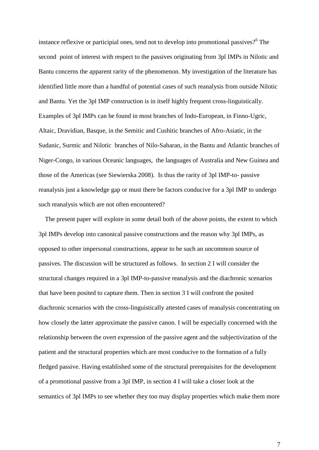instance reflexive or participial ones, tend not to develop into promotional passives?<sup>6</sup> The second point of interest with respect to the passives originating from 3pl IMPs in Nilotic and Bantu concerns the apparent rarity of the phenomenon. My investigation of the literature has identified little more than a handful of potential cases of such reanalysis from outside Nilotic and Bantu. Yet the 3pl IMP construction is in itself highly frequent cross-linguistically. Examples of 3pl IMPs can be found in most branches of Indo-European, in Finno-Ugric, Altaic, Dravidian, Basque, in the Semitic and Cushitic branches of Afro-Asiatic, in the Sudanic, Surmic and Nilotic branches of Nilo-Saharan, in the Bantu and Atlantic branches of Niger-Congo, in various Oceanic languages, the languages of Australia and New Guinea and those of the Americas (see Siewierska 2008). Is thus the rarity of 3pl IMP-to- passive reanalysis just a knowledge gap or must there be factors conducive for a 3pl IMP to undergo such reanalysis which are not often encountered?

 The present paper will explore in some detail both of the above points, the extent to which 3pl IMPs develop into canonical passive constructions and the reason why 3pl IMPs, as opposed to other impersonal constructions, appear to be such an uncommon source of passives. The discussion will be structured as follows. In section 2 I will consider the structural changes required in a 3pl IMP-to-passive reanalysis and the diachronic scenarios that have been posited to capture them. Then in section 3 I will confront the posited diachronic scenarios with the cross-linguistically attested cases of reanalysis concentrating on how closely the latter approximate the passive canon. I will be especially concerned with the relationship between the overt expression of the passive agent and the subjectivization of the patient and the structural properties which are most conducive to the formation of a fully fledged passive. Having established some of the structural prerequisites for the development of a promotional passive from a 3pl IMP, in section 4 I will take a closer look at the semantics of 3pl IMPs to see whether they too may display properties which make them more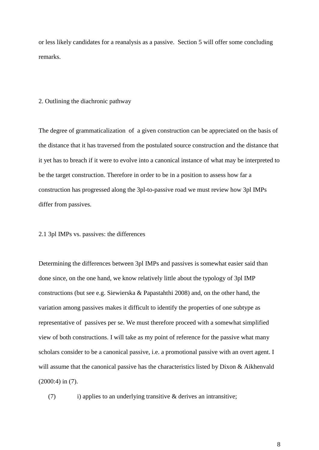or less likely candidates for a reanalysis as a passive. Section 5 will offer some concluding remarks.

#### 2. Outlining the diachronic pathway

The degree of grammaticalization of a given construction can be appreciated on the basis of the distance that it has traversed from the postulated source construction and the distance that it yet has to breach if it were to evolve into a canonical instance of what may be interpreted to be the target construction. Therefore in order to be in a position to assess how far a construction has progressed along the 3pl-to-passive road we must review how 3pl IMPs differ from passives.

### 2.1 3pl IMPs vs. passives: the differences

Determining the differences between 3pl IMPs and passives is somewhat easier said than done since, on the one hand, we know relatively little about the typology of 3pl IMP constructions (but see e.g. Siewierska & Papastahthi 2008) and, on the other hand, the variation among passives makes it difficult to identify the properties of one subtype as representative of passives per se. We must therefore proceed with a somewhat simplified view of both constructions. I will take as my point of reference for the passive what many scholars consider to be a canonical passive, i.e. a promotional passive with an overt agent. I will assume that the canonical passive has the characteristics listed by Dixon & Aikhenvald (2000:4) in (7).

(7) i) applies to an underlying transitive  $\&$  derives an intransitive;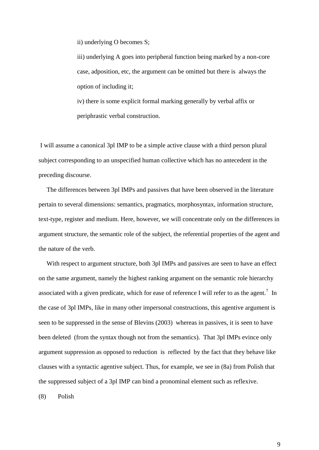ii) underlying O becomes S;

iii) underlying A goes into peripheral function being marked by a non-core case, adposition, etc, the argument can be omitted but there is always the option of including it;

iv) there is some explicit formal marking generally by verbal affix or periphrastic verbal construction.

I will assume a canonical 3pl IMP to be a simple active clause with a third person plural subject corresponding to an unspecified human collective which has no antecedent in the preceding discourse.

 The differences between 3pl IMPs and passives that have been observed in the literature pertain to several dimensions: semantics, pragmatics, morphosyntax, information structure, text-type, register and medium. Here, however, we will concentrate only on the differences in argument structure, the semantic role of the subject, the referential properties of the agent and the nature of the verb.

 With respect to argument structure, both 3pl IMPs and passives are seen to have an effect on the same argument, namely the highest ranking argument on the semantic role hierarchy associated with a given predicate, which for ease of reference I will refer to as the agent.<sup>7</sup> In the case of 3pl IMPs, like in many other impersonal constructions, this agentive argument is seen to be suppressed in the sense of Blevins (2003) whereas in passives, it is seen to have been deleted (from the syntax though not from the semantics). That 3pl IMPs evince only argument suppression as opposed to reduction is reflected by the fact that they behave like clauses with a syntactic agentive subject. Thus, for example, we see in (8a) from Polish that the suppressed subject of a 3pl IMP can bind a pronominal element such as reflexive.

(8) Polish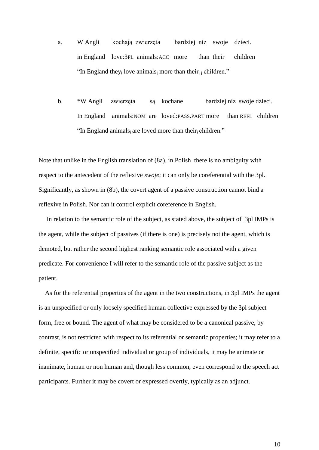- a. W Angli kochają zwierzęta bardziej niz swoje dzieci. in England love:3PL animals:ACC more than their children "In England they<sub>i</sub> love animals<sub>i</sub> more than their<sub>i i</sub> children."
- b. \*W Angli zwierzęta są kochane bardziej niz swoje dzieci. In England animals:NOM are loved:PASS.PART more than REFL children "In England animals<sub>i</sub> are loved more than their children."

Note that unlike in the English translation of (8a), in Polish there is no ambiguity with respect to the antecedent of the reflexive *swoje*; it can only be coreferential with the 3pl. Significantly, as shown in (8b), the covert agent of a passive construction cannot bind a reflexive in Polish. Nor can it control explicit coreference in English.

 In relation to the semantic role of the subject, as stated above, the subject of 3pl IMPs is the agent, while the subject of passives (if there is one) is precisely not the agent, which is demoted, but rather the second highest ranking semantic role associated with a given predicate. For convenience I will refer to the semantic role of the passive subject as the patient.

 As for the referential properties of the agent in the two constructions, in 3pl IMPs the agent is an unspecified or only loosely specified human collective expressed by the 3pl subject form, free or bound. The agent of what may be considered to be a canonical passive, by contrast, is not restricted with respect to its referential or semantic properties; it may refer to a definite, specific or unspecified individual or group of individuals, it may be animate or inanimate, human or non human and, though less common, even correspond to the speech act participants. Further it may be covert or expressed overtly, typically as an adjunct.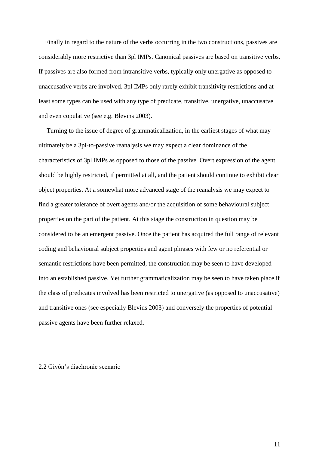Finally in regard to the nature of the verbs occurring in the two constructions, passives are considerably more restrictive than 3pl IMPs. Canonical passives are based on transitive verbs. If passives are also formed from intransitive verbs, typically only unergative as opposed to unaccusative verbs are involved. 3pl IMPs only rarely exhibit transitivity restrictions and at least some types can be used with any type of predicate, transitive, unergative, unaccusatve and even copulative (see e.g. Blevins 2003).

 Turning to the issue of degree of grammaticalization, in the earliest stages of what may ultimately be a 3pl-to-passive reanalysis we may expect a clear dominance of the characteristics of 3pl IMPs as opposed to those of the passive. Overt expression of the agent should be highly restricted, if permitted at all, and the patient should continue to exhibit clear object properties. At a somewhat more advanced stage of the reanalysis we may expect to find a greater tolerance of overt agents and/or the acquisition of some behavioural subject properties on the part of the patient. At this stage the construction in question may be considered to be an emergent passive. Once the patient has acquired the full range of relevant coding and behavioural subject properties and agent phrases with few or no referential or semantic restrictions have been permitted, the construction may be seen to have developed into an established passive. Yet further grammaticalization may be seen to have taken place if the class of predicates involved has been restricted to unergative (as opposed to unaccusative) and transitive ones (see especially Blevins 2003) and conversely the properties of potential passive agents have been further relaxed.

## 2.2 Givón"s diachronic scenario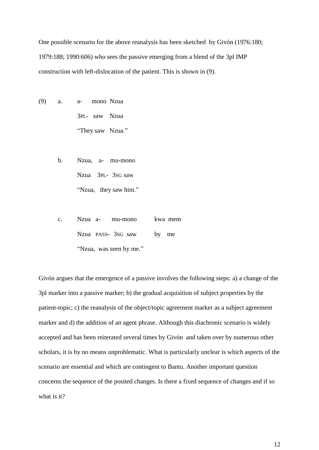One possible scenario for the above reanalysis has been sketched by Givón (1976:180; 1979:188; 1990:606) who sees the passive emerging from a blend of the 3pl IMP construction with left-dislocation of the patient. This is shown in (9).

- (9) a. a- mono Nzua 3PL- saw Nzua "They saw Nzua."
	- b. Nzua, a- mu-mono Nzua 3PL- 3SG saw "Nzua, they saw him."
	- c. Nzua a- mu-mono kwa mem Nzua PASS- 3SG saw by me "Nzua, was seen by me."

Givón argues that the emergence of a passive involves the following steps: a) a change of the 3pl marker into a passive marker; b) the gradual acquisition of subject properties by the patient-topic; c) the reanalysis of the object/topic agreement marker as a subject agreement marker and d) the addition of an agent phrase. Although this diachronic scenario is widely accepted and has been reiterated several times by Givón and taken over by numerous other scholars, it is by no means unproblematic. What is particularly unclear is which aspects of the scenario are essential and which are contingent to Bantu. Another important question concerns the sequence of the posited changes. Is there a fixed sequence of changes and if so what is it?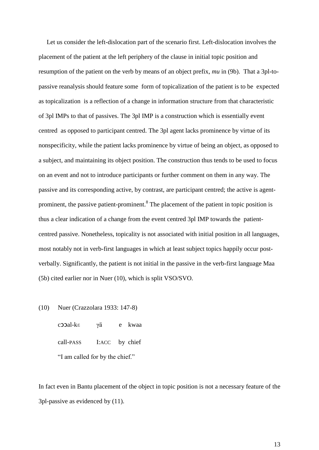Let us consider the left-dislocation part of the scenario first. Left-dislocation involves the placement of the patient at the left periphery of the clause in initial topic position and resumption of the patient on the verb by means of an object prefix, *mu* in (9b). That a 3pl-topassive reanalysis should feature some form of topicalization of the patient is to be expected as topicalization is a reflection of a change in information structure from that characteristic of 3pl IMPs to that of passives. The 3pl IMP is a construction which is essentially event centred as opposed to participant centred. The 3pl agent lacks prominence by virtue of its nonspecificity, while the patient lacks prominence by virtue of being an object, as opposed to a subject, and maintaining its object position. The construction thus tends to be used to focus on an event and not to introduce participants or further comment on them in any way. The passive and its corresponding active, by contrast, are participant centred; the active is agentprominent, the passive patient-prominent.<sup>8</sup> The placement of the patient in topic position is thus a clear indication of a change from the event centred 3pl IMP towards the patientcentred passive. Nonetheless, topicality is not associated with initial position in all languages, most notably not in verb-first languages in which at least subject topics happily occur postverbally. Significantly, the patient is not initial in the passive in the verb-first language Maa (5b) cited earlier nor in Nuer (10), which is split VSO/SVO.

(10) Nuer (Crazzolara 1933: 147-8)

cɔɔal-kɛ γä e kwaa call-PASS I:ACC by chief "I am called for by the chief."

In fact even in Bantu placement of the object in topic position is not a necessary feature of the 3pl-passive as evidenced by (11).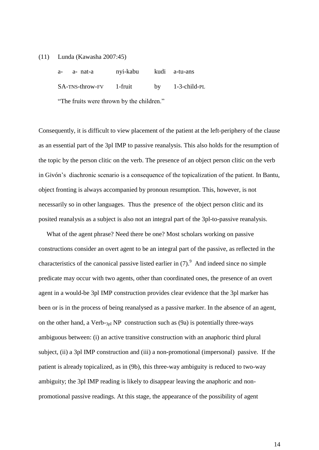(11) Lunda (Kawasha 2007:45)

| a- a-nat-a              | nyi-kabu kudi a-tu-ans |                    |
|-------------------------|------------------------|--------------------|
| SA-TNS-throw-FV 1-fruit |                        | by $1-3$ -child-PL |
|                         |                        |                    |

"The fruits were thrown by the children."

Consequently, it is difficult to view placement of the patient at the left-periphery of the clause as an essential part of the 3pl IMP to passive reanalysis. This also holds for the resumption of the topic by the person clitic on the verb. The presence of an object person clitic on the verb in Givón"s diachronic scenario is a consequence of the topicalization of the patient. In Bantu, object fronting is always accompanied by pronoun resumption. This, however, is not necessarily so in other languages. Thus the presence of the object person clitic and its posited reanalysis as a subject is also not an integral part of the 3pl-to-passive reanalysis.

 What of the agent phrase? Need there be one? Most scholars working on passive constructions consider an overt agent to be an integral part of the passive, as reflected in the characteristics of the canonical passive listed earlier in  $(7)$ .<sup>9</sup> And indeed since no simple predicate may occur with two agents, other than coordinated ones, the presence of an overt agent in a would-be 3pl IMP construction provides clear evidence that the 3pl marker has been or is in the process of being reanalysed as a passive marker. In the absence of an agent, on the other hand, a Verb- $_{3pl}$  NP construction such as (9a) is potentially three-ways ambiguous between: (i) an active transitive construction with an anaphoric third plural subject, (ii) a 3pl IMP construction and (iii) a non-promotional (impersonal) passive. If the patient is already topicalized, as in (9b), this three-way ambiguity is reduced to two-way ambiguity; the 3pl IMP reading is likely to disappear leaving the anaphoric and nonpromotional passive readings. At this stage, the appearance of the possibility of agent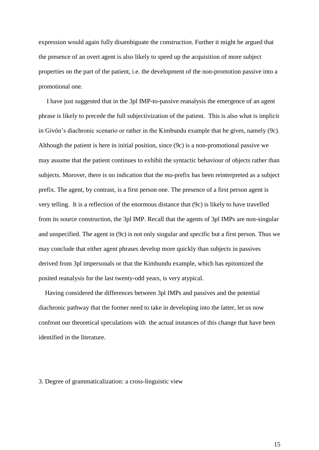expression would again fully disambiguate the construction. Further it might be argued that the presence of an overt agent is also likely to speed up the acquisition of more subject properties on the part of the patient, i.e. the development of the non-promotion passive into a promotional one.

 I have just suggested that in the 3pl IMP-to-passive reanalysis the emergence of an agent phrase is likely to precede the full subjectivization of the patient. This is also what is implicit in Givón"s diachronic scenario or rather in the Kimbundu example that he gives, namely (9c). Although the patient is here in initial position, since (9c) is a non-promotional passive we may assume that the patient continues to exhibit the syntactic behaviour of objects rather than subjects. Morover, there is no indication that the *mu*-prefix has been reinterpreted as a subject prefix. The agent, by contrast, is a first person one. The presence of a first person agent is very telling. It is a reflection of the enormous distance that (9c) is likely to have travelled from its source construction, the 3pl IMP. Recall that the agents of 3pl IMPs are non-singular and unspecified. The agent in (9c) is not only singular and specific but a first person. Thus we may conclude that either agent phrases develop more quickly than subjects in passives derived from 3pl impersonals or that the Kimbundu example, which has epitomized the posited reanalysis for the last twenty-odd years, is very atypical.

 Having considered the differences between 3pl IMPs and passives and the potential diachronic pathway that the former need to take in developing into the latter, let us now confront our theoretical speculations with the actual instances of this change that have been identified in the literature.

3. Degree of grammaticalization: a cross-linguistic view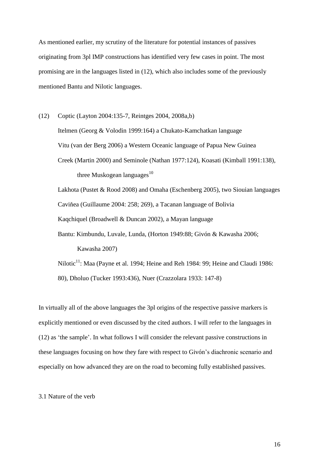As mentioned earlier, my scrutiny of the literature for potential instances of passives originating from 3pl IMP constructions has identified very few cases in point. The most promising are in the languages listed in (12), which also includes some of the previously mentioned Bantu and Nilotic languages.

(12) Coptic (Layton 2004:135-7, Reintges 2004, 2008a,b) Itelmen (Georg & Volodin 1999:164) a Chukato-Kamchatkan language Vitu (van der Berg 2006) a Western Oceanic language of Papua New Guinea Creek (Martin 2000) and Seminole (Nathan 1977:124), Koasati (Kimball 1991:138), three Muskogean languages $^{10}$ 

Lakhota (Pustet & Rood 2008) and Omaha (Eschenberg 2005), two Siouian languages Caviňea (Guillaume 2004: 258; 269), a Tacanan language of Bolivia Kaqchiquel (Broadwell & Duncan 2002), a Mayan language Bantu: Kimbundu, Luvale, Lunda, (Horton 1949:88; Givón & Kawasha 2006;

Kawasha 2007)

Nilotic<sup>11</sup>: Maa (Payne et al. 1994; Heine and Reh 1984: 99; Heine and Claudi 1986: 80), Dholuo (Tucker 1993:436), Nuer (Crazzolara 1933: 147-8)

In virtually all of the above languages the 3pl origins of the respective passive markers is explicitly mentioned or even discussed by the cited authors. I will refer to the languages in (12) as "the sample". In what follows I will consider the relevant passive constructions in these languages focusing on how they fare with respect to Givón"s diachronic scenario and especially on how advanced they are on the road to becoming fully established passives.

#### 3.1 Nature of the verb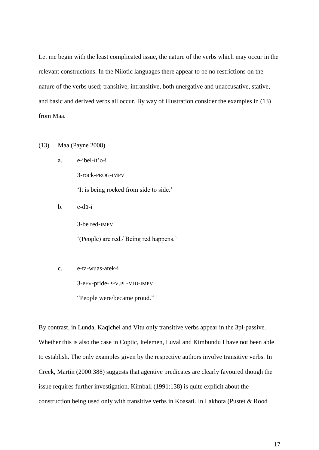Let me begin with the least complicated issue, the nature of the verbs which may occur in the relevant constructions. In the Nilotic languages there appear to be no restrictions on the nature of the verbs used; transitive, intransitive, both unergative and unaccusative, stative, and basic and derived verbs all occur. By way of illustration consider the examples in (13) from Maa.

## (13) Maa (Payne 2008)

a. e-ibel-it"o-i

"It is being rocked from side to side."

b. e-dɔ-i

3-be red-IMPV

3-rock-PROG-IMPV

"(People) are red./ Being red happens."

c. e-ta-wuas-atek-i

3-PFV-pride-PFV.PL-MID-IMPV

"People were/became proud."

By contrast, in Lunda, Kaqichel and Vitu only transitive verbs appear in the 3pl-passive. Whether this is also the case in Coptic, Itelemen, Luval and Kimbundu I have not been able to establish. The only examples given by the respective authors involve transitive verbs. In Creek, Martin (2000:388) suggests that agentive predicates are clearly favoured though the issue requires further investigation. Kimball (1991:138) is quite explicit about the construction being used only with transitive verbs in Koasati. In Lakhota (Pustet & Rood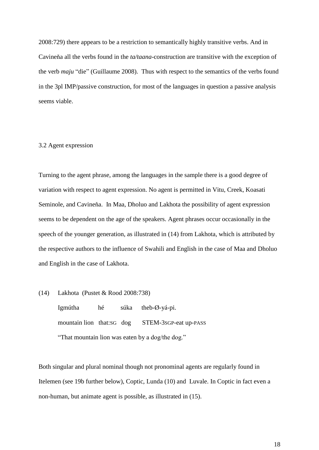2008:729) there appears to be a restriction to semantically highly transitive verbs. And in Cavineňa all the verbs found in the *ta/taana*-construction are transitive with the exception of the verb *maju* "die" (Guillaume 2008). Thus with respect to the semantics of the verbs found in the 3pl IMP/passive construction, for most of the languages in question a passive analysis seems viable.

## 3.2 Agent expression

Turning to the agent phrase, among the languages in the sample there is a good degree of variation with respect to agent expression. No agent is permitted in Vitu, Creek, Koasati Seminole, and Cavineňa. In Maa, Dholuo and Lakhota the possibility of agent expression seems to be dependent on the age of the speakers. Agent phrases occur occasionally in the speech of the younger generation, as illustrated in (14) from Lakhota, which is attributed by the respective authors to the influence of Swahili and English in the case of Maa and Dholuo and English in the case of Lakhota.

(14) Lakhota (Pustet & Rood 2008:738)

Igmútha hé súka theb-Ø-yá-pi. mountain lion that:SG dog STEM-3SGP-eat up-PASS "That mountain lion was eaten by a dog/the dog."

Both singular and plural nominal though not pronominal agents are regularly found in Itelemen (see 19b further below), Coptic, Lunda (10) and Luvale. In Coptic in fact even a non-human, but animate agent is possible, as illustrated in (15).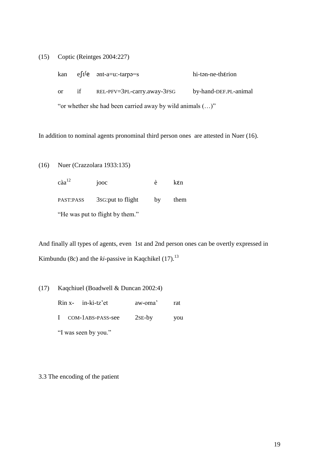(15) Coptic (Reintges 2004:227)

|                                                                    |    | kan $eft^f$ e ənt-a=u:-tarpə=s        | hi-tan-ne-therion     |  |  |  |
|--------------------------------------------------------------------|----|---------------------------------------|-----------------------|--|--|--|
| or                                                                 | if | $REL$ -PFV= $3PL$ -carry.away- $3FSG$ | by-hand-DEF.PL-animal |  |  |  |
| "or whether she had been carried away by wild animals $(\ldots)$ " |    |                                       |                       |  |  |  |

In addition to nominal agents pronominal third person ones are attested in Nuer (16).

(16) Nuer (Crazzolara 1933:135)

 $\text{càa}^{12}$  jooc è k $\text{E}$ **n** PAST:PASS 3SG:put to flight by them "He was put to flight by them."

And finally all types of agents, even 1st and 2nd person ones can be overtly expressed in Kimbundu (8c) and the *ki*-passive in Kaqchikel (17).<sup>13</sup>

(17) Kaqchiuel (Boadwell & Duncan 2002:4)

Rin x- in-ki-tz"et aw-oma" rat I COM-1ABS-PASS-see 2SE-by you "I was seen by you."

3.3 The encoding of the patient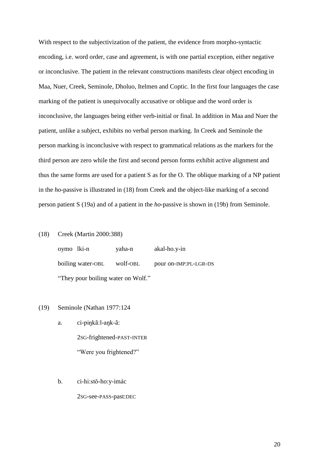With respect to the subjectivization of the patient, the evidence from morpho-syntactic encoding, i.e. word order, case and agreement, is with one partial exception, either negative or inconclusive. The patient in the relevant constructions manifests clear object encoding in Maa, Nuer, Creek, Seminole, Dholuo, Itelmen and Coptic. In the first four languages the case marking of the patient is unequivocally accusative or oblique and the word order is inconclusive, the languages being either verb-initial or final. In addition in Maa and Nuer the patient, unlike a subject, exhibits no verbal person marking. In Creek and Seminole the person marking is inconclusive with respect to grammatical relations as the markers for the third person are zero while the first and second person forms exhibit active alignment and thus the same forms are used for a patient S as for the O. The oblique marking of a NP patient in the *ho*-passive is illustrated in (18) from Creek and the object-like marking of a second person patient S (19a) and of a patient in the *ho*-passive is shown in (19b) from Seminole.

#### (18) Creek (Martin 2000:388)

oymo lki-n yaha-n akal-ho.y-in boiling water-OBL wolf-OBL pour on-IMP:PL-LGR-DS "They pour boiling water on Wolf."

#### (19) Seminole (Nathan 1977:124

a. ci-piŋkã:l-aŋk-ã: 2SG-frightened-PAST-INTER "Were you frightened?"

b. ci-hi:stŏ-ho:y-imác

2SG-see-PASS-past:DEC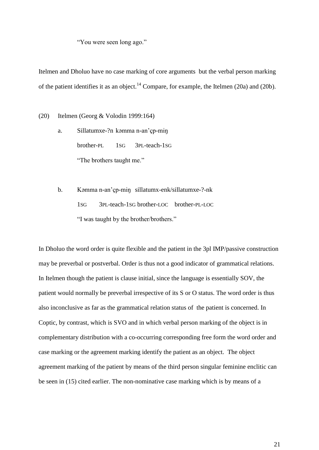"You were seen long ago."

Itelmen and Dholuo have no case marking of core arguments but the verbal person marking of the patient identifies it as an object.<sup>14</sup> Compare, for example, the Itelmen (20a) and (20b).

(20) Itelmen (Georg & Volodin 1999:164)

- a. Sillatumxe-?n kəmma n-an"çp-miŋ brother-PL 1SG 3PL-teach-1SG "The brothers taught me."
- b. Kəmma n-an"çp-miŋ sillatumx-enk/sillatumxe-?-nk 1SG 3PL-teach-1SG brother-LOC brother-PL-LOC "I was taught by the brother/brothers."

In Dholuo the word order is quite flexible and the patient in the 3pl IMP/passive construction may be preverbal or postverbal. Order is thus not a good indicator of grammatical relations. In Itelmen though the patient is clause initial, since the language is essentially SOV, the patient would normally be preverbal irrespective of its S or O status. The word order is thus also inconclusive as far as the grammatical relation status of the patient is concerned. In Coptic, by contrast, which is SVO and in which verbal person marking of the object is in complementary distribution with a co-occurring corresponding free form the word order and case marking or the agreement marking identify the patient as an object. The object agreement marking of the patient by means of the third person singular feminine enclitic can be seen in (15) cited earlier. The non-nominative case marking which is by means of a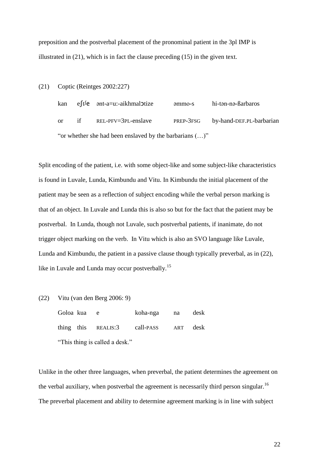preposition and the postverbal placement of the pronominal patient in the 3pl IMP is illustrated in (21), which is in fact the clause preceding (15) in the given text.

(21) Coptic (Reintges 2002:227)

kan eft<sup>j</sup>e ənt-a=u:-aikhmal**o**tize əmmo-s hi-tən-nə-ßarbaros or if REL-PFV=3PL-enslave PREP-3FSG by-hand-DEF.PL-barbarian "or whether she had been enslaved by the barbarians (…)"

Split encoding of the patient, i.e. with some object-like and some subject-like characteristics is found in Luvale, Lunda, Kimbundu and Vitu. In Kimbundu the initial placement of the patient may be seen as a reflection of subject encoding while the verbal person marking is that of an object. In Luvale and Lunda this is also so but for the fact that the patient may be postverbal. In Lunda, though not Luvale, such postverbal patients, if inanimate, do not trigger object marking on the verb. In Vitu which is also an SVO language like Luvale, Lunda and Kimbundu, the patient in a passive clause though typically preverbal, as in (22), like in Luvale and Lunda may occur postverbally.<sup>15</sup>

(22) Vitu (van den Berg 2006: 9)

| Goloa kua                      |  | e e                               | koha-nga na |  | desk |  |
|--------------------------------|--|-----------------------------------|-------------|--|------|--|
|                                |  | thing this REALIS:3 call-PASS ART |             |  | desk |  |
| "This thing is called a desk." |  |                                   |             |  |      |  |

Unlike in the other three languages, when preverbal, the patient determines the agreement on the verbal auxiliary, when postverbal the agreement is necessarily third person singular.<sup>16</sup> The preverbal placement and ability to determine agreement marking is in line with subject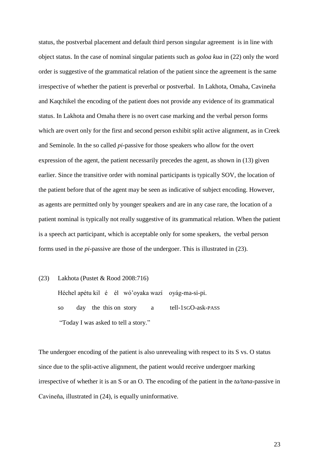status, the postverbal placement and default third person singular agreement is in line with object status. In the case of nominal singular patients such as *goloa kua* in (22) only the word order is suggestive of the grammatical relation of the patient since the agreement is the same irrespective of whether the patient is preverbal or postverbal. In Lakhota, Omaha, Cavineňa and Kaqchikel the encoding of the patient does not provide any evidence of its grammatical status. In Lakhota and Omaha there is no overt case marking and the verbal person forms which are overt only for the first and second person exhibit split active alignment, as in Creek and Seminole. In the so called *pi-*passive for those speakers who allow for the overt expression of the agent, the patient necessarily precedes the agent, as shown in (13) given earlier. Since the transitive order with nominal participants is typically SOV, the location of the patient before that of the agent may be seen as indicative of subject encoding. However, as agents are permitted only by younger speakers and are in any case rare, the location of a patient nominal is typically not really suggestive of its grammatical relation. When the patient is a speech act participant, which is acceptable only for some speakers, the verbal person forms used in the *pi*-passive are those of the undergoer. This is illustrated in (23).

(23) Lakhota (Pustet & Rood 2008:716)

Héchel apétu kil é él wó"oyaka wazí oyág-ma-si-pi. so day the this on story a tell-1SGO-ask-PASS "Today I was asked to tell a story."

The undergoer encoding of the patient is also unrevealing with respect to its S vs. O status since due to the split-active alignment, the patient would receive undergoer marking irrespective of whether it is an S or an O. The encoding of the patient in the *ta/tana*-passive in Cavineňa, illustrated in (24), is equally uninformative.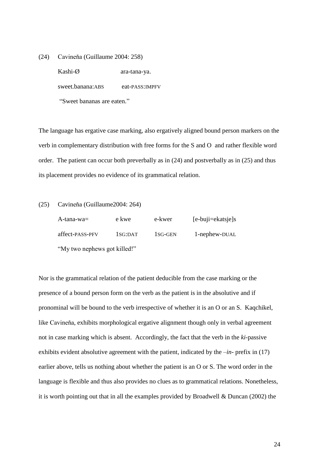(24) Cavineňa (Guillaume 2004: 258)

Kashi-Ø ara-tana-ya.

sweet.banana:ABS eat-PASS:IMPFV

"Sweet bananas are eaten."

The language has ergative case marking, also ergatively aligned bound person markers on the verb in complementary distribution with free forms for the S and O and rather flexible word order. The patient can occur both preverbally as in (24) and postverbally as in (25) and thus its placement provides no evidence of its grammatical relation.

| (25) |  | Cavineňa (Guillaume2004: 264) |  |
|------|--|-------------------------------|--|
|------|--|-------------------------------|--|

| A-tana-wa $=$                | e kwe   | e-kwer               | $[e-bu]$ $i=ekats$ $j \in S$ |  |  |
|------------------------------|---------|----------------------|------------------------------|--|--|
| affect-PASS-PFV              | 1SG:DAT | 1 <sub>SG</sub> -GEN | 1-nephew-DUAL                |  |  |
| "My two nephews got killed!" |         |                      |                              |  |  |

Nor is the grammatical relation of the patient deducible from the case marking or the presence of a bound person form on the verb as the patient is in the absolutive and if pronominal will be bound to the verb irrespective of whether it is an O or an S. Kaqchikel, like Cavineňa, exhibits morphological ergative alignment though only in verbal agreement not in case marking which is absent. Accordingly, the fact that the verb in the *ki*-passive exhibits evident absolutive agreement with the patient, indicated by the –*in*- prefix in (17) earlier above, tells us nothing about whether the patient is an O or S. The word order in the language is flexible and thus also provides no clues as to grammatical relations. Nonetheless, it is worth pointing out that in all the examples provided by Broadwell & Duncan (2002) the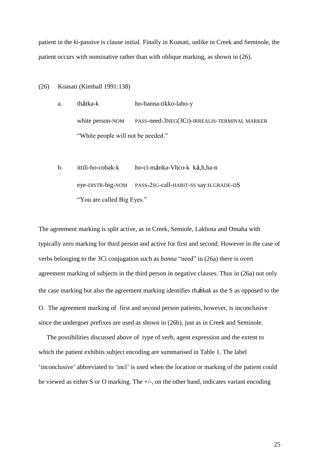patient in the *ki*-passive is clause initial. Finally in Koasati, unlike in Creek and Seminole, the patient occurs with nominative rather than with oblique marking, as shown in (26).

(26) Koasati (Kimball 1991:138)

a. thátka-k ho-banna-tikko-laho-y white person-NOM PASS-need-3NEG(3CI)-IRREALIS-TERMINAL MARKER "White people will not be needed."

b. ittili-ho-cobak-k ho-ci-mánka-Vhco-k ká,h,ha-n eye-DISTR-big-NOM PASS-2SG-call-HABIT-SS say:H.GRADE-DS "You are called Big Eyes."

The agreement marking is split active, as in Creek, Semiole, Lakhota and Omaha with typically zero marking for third person and active for first and second. However in the case of verbs belonging to the 3Ci conjugation such as *banna* "need" in (26a) there is overt agreement marking of subjects in the third person in negative clauses. Thus in (26a) not only the case marking but also the agreement marking identifies *th*á*tkak* as the S as opposed to the O. The agreement marking of first and second person patients, however, is inconclusive since the undergoer prefixes are used as shown in (26b), just as in Creek and Seminole.

 The possibilities discussed above of type of verb, agent expression and the extent to which the patient exhibits subject encoding are summarised in Table 1. The label "inconclusive" abbreviated to "incl" is used when the location or marking of the patient could be viewed as either S or O marking. The +/-, on the other hand, indicates variant encoding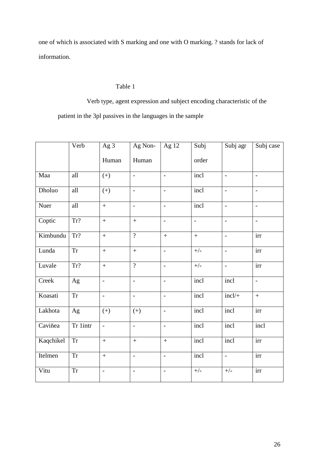one of which is associated with S marking and one with O marking. ? stands for lack of information.

## Table 1

Verb type, agent expression and subject encoding characteristic of the

patient in the 3pl passives in the languages in the sample

|           | Verb                                                                                                  | Ag 3                     | Ag Non-                  | $\overline{Ag}$ 12           | Subj                     | Subj agr       | Subj case                |
|-----------|-------------------------------------------------------------------------------------------------------|--------------------------|--------------------------|------------------------------|--------------------------|----------------|--------------------------|
|           |                                                                                                       | Human                    | Human                    |                              | order                    |                |                          |
| Maa       | all                                                                                                   | $(+)$                    | $\Box$                   | $\overline{a}$               | incl                     | $\overline{a}$ | $\overline{a}$           |
| Dholuo    | all                                                                                                   | $(+)$                    | $\equiv$                 | $\overline{a}$               | incl                     | $\overline{a}$ | $\frac{1}{2}$            |
| Nuer      | all                                                                                                   | $\ddot{}$                | $\Box$                   | $\overline{\phantom{a}}$     | incl                     | $\frac{1}{2}$  | $\overline{\phantom{a}}$ |
| Coptic    | Tr?                                                                                                   | $\ddot{}$                | $\ddot{}$                | $\overline{a}$               | $\overline{\phantom{a}}$ | $\overline{a}$ | $\overline{a}$           |
| Kimbundu  | Tr?                                                                                                   | $\ddot{}$                | $\overline{?}$           | $\ddot{}$                    | $\qquad \qquad +$        | $\blacksquare$ | irr                      |
| Lunda     | <b>Tr</b>                                                                                             | $\ddot{}$                | $\ddot{}$                | $\frac{1}{2}$                | $+/-$                    | $\frac{1}{2}$  | irr                      |
| Luvale    | Tr?                                                                                                   | $\ddot{}$                | $\overline{?}$           | $\frac{1}{2}$                | $+/-$                    | $\frac{1}{2}$  | irr                      |
| Creek     | Ag                                                                                                    | $\overline{\phantom{a}}$ | $\mathbb{L}$             | $\blacksquare$               | incl                     | incl           | $\Box$                   |
| Koasati   | $\operatorname{Tr}% \left\{ \mathcal{M}_{i}\right\} =\operatorname{Tr}f\left( \mathcal{M}_{i}\right)$ | $\frac{1}{2}$            | $\overline{\phantom{a}}$ | $\frac{1}{2}$                | incl                     | $incl/+$       | $+$                      |
| Lakhota   | Ag                                                                                                    | $(+)$                    | $(+)$                    | $\overline{a}$               | incl                     | incl           | $\overline{\text{irr}}$  |
| Caviňea   | Tr 1intr                                                                                              | $\frac{1}{2}$            | $\overline{\phantom{a}}$ | $\overline{a}$               | incl                     | incl           | $\overline{\text{incl}}$ |
| Kaqchikel | ${\rm Tr}$                                                                                            | $\ddot{}$                | $\boldsymbol{+}$         | $\ddot{}$                    | incl                     | incl           | irr                      |
| Itelmen   | $\operatorname{Tr}% \left\{ \mathcal{M}_{i}\right\} =\operatorname{Tr}f\left( \mathcal{M}_{i}\right)$ | $\ddot{}$                | $\overline{a}$           | $\frac{1}{2}$                | incl                     | $\frac{1}{2}$  | irr                      |
| Vitu      | <b>Tr</b>                                                                                             | $\overline{a}$           | $\overline{\phantom{0}}$ | $\qquad \qquad \blacksquare$ | $+/-$                    | $+/-$          | irr                      |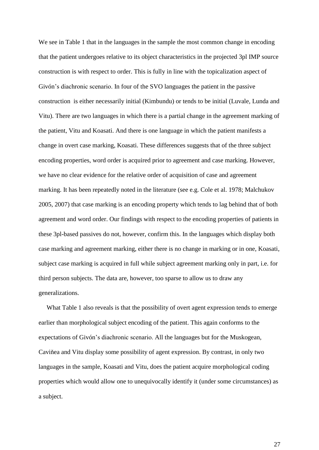We see in Table 1 that in the languages in the sample the most common change in encoding that the patient undergoes relative to its object characteristics in the projected 3pl IMP source construction is with respect to order. This is fully in line with the topicalization aspect of Givón"s diachronic scenario. In four of the SVO languages the patient in the passive construction is either necessarily initial (Kimbundu) or tends to be initial (Luvale, Lunda and Vitu). There are two languages in which there is a partial change in the agreement marking of the patient, Vitu and Koasati. And there is one language in which the patient manifests a change in overt case marking, Koasati. These differences suggests that of the three subject encoding properties, word order is acquired prior to agreement and case marking. However, we have no clear evidence for the relative order of acquisition of case and agreement marking. It has been repeatedly noted in the literature (see e.g. Cole et al. 1978; Malchukov 2005, 2007) that case marking is an encoding property which tends to lag behind that of both agreement and word order. Our findings with respect to the encoding properties of patients in these 3pl-based passives do not, however, confirm this. In the languages which display both case marking and agreement marking, either there is no change in marking or in one, Koasati, subject case marking is acquired in full while subject agreement marking only in part, i.e. for third person subjects. The data are, however, too sparse to allow us to draw any generalizations.

 What Table 1 also reveals is that the possibility of overt agent expression tends to emerge earlier than morphological subject encoding of the patient. This again conforms to the expectations of Givón"s diachronic scenario. All the languages but for the Muskogean, Caviňea and Vitu display some possibility of agent expression. By contrast, in only two languages in the sample, Koasati and Vitu, does the patient acquire morphological coding properties which would allow one to unequivocally identify it (under some circumstances) as a subject.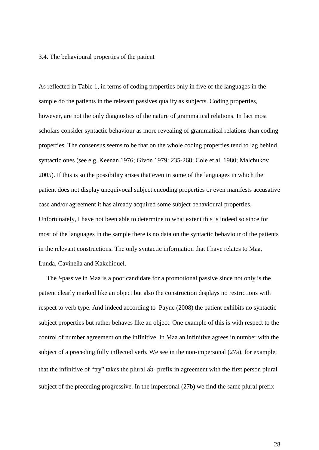#### 3.4. The behavioural properties of the patient

As reflected in Table 1, in terms of coding properties only in five of the languages in the sample do the patients in the relevant passives qualify as subjects. Coding properties, however, are not the only diagnostics of the nature of grammatical relations. In fact most scholars consider syntactic behaviour as more revealing of grammatical relations than coding properties. The consensus seems to be that on the whole coding properties tend to lag behind syntactic ones (see e.g. Keenan 1976; Givón 1979: 235-268; Cole et al. 1980; Malchukov 2005). If this is so the possibility arises that even in some of the languages in which the patient does not display unequivocal subject encoding properties or even manifests accusative case and/or agreement it has already acquired some subject behavioural properties. Unfortunately, I have not been able to determine to what extent this is indeed so since for most of the languages in the sample there is no data on the syntactic behaviour of the patients in the relevant constructions. The only syntactic information that I have relates to Maa, Lunda, Cavineňa and Kakchiquel.

 The *i*-passive in Maa is a poor candidate for a promotional passive since not only is the patient clearly marked like an object but also the construction displays no restrictions with respect to verb type. And indeed according to Payne (2008) the patient exhibits no syntactic subject properties but rather behaves like an object. One example of this is with respect to the control of number agreement on the infinitive. In Maa an infinitive agrees in number with the subject of a preceding fully inflected verb. We see in the non-impersonal (27a), for example, that the infinitive of "try" takes the plural  $\hat{a}a$ - prefix in agreement with the first person plural subject of the preceding progressive. In the impersonal (27b) we find the same plural prefix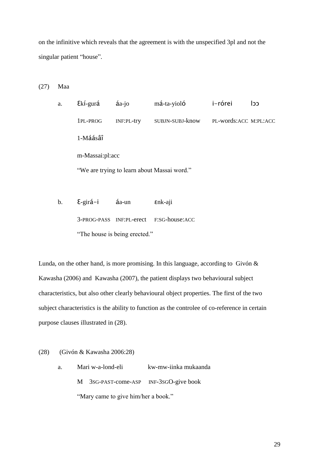on the infinitive which reveals that the agreement is with the unspecified 3pl and not the singular patient "house".

(27) Maa

a. Ɛkí-gurá áa-jo má-ta-yioló i-rórei lɔɔ 1PL-PROG INF:PL-try SUBJN-SUBJ-know PL-words:ACC M:PL:ACC 1-Máásâî m-Massai:pl:acc "We are trying to learn about Massai word."

b. Ɛ-girá-i áa-un ɛnk-aji 3-PROG-PASS INF:PL-erect F:SG-house:ACC "The house is being erected."

Lunda, on the other hand, is more promising. In this language, according to Givón  $\&$ Kawasha (2006) and Kawasha (2007), the patient displays two behavioural subject characteristics, but also other clearly behavioural object properties. The first of the two subject characteristics is the ability to function as the controlee of co-reference in certain purpose clauses illustrated in (28).

- (28) (Givón & Kawasha 2006:28)
	- a. Mari w-a-lond-eli kw-mw-iinka mukaanda M 3SG-PAST-come-ASP INF-3SGO-give book "Mary came to give him/her a book."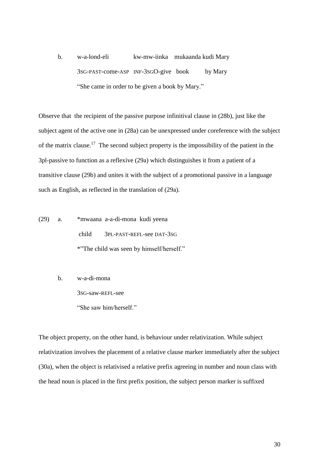b. w-a-lond-eli kw-mw-iinka mukaanda kudi Mary 3SG-PAST-come-ASP INF-3SGO-give book by Mary "She came in order to be given a book by Mary."

Observe that the recipient of the passive purpose infinitival clause in (28b), just like the subject agent of the active one in (28a) can be unexpressed under coreference with the subject of the matrix clause.<sup>17</sup> The second subject property is the impossibility of the patient in the 3pl-passive to function as a reflexive (29a) which distinguishes it from a patient of a transitive clause (29b) and unites it with the subject of a promotional passive in a language such as English, as reflected in the translation of (29a).

- (29) a. \*mwaana a-a-di-mona kudi yeena child 3PL-PAST-REFL-see DAT-3SG \*"The child was seen by himself/herself."
	- b. w-a-di-mona 3SG-saw-REFL-see "She saw him/herself"

The object property, on the other hand, is behaviour under relativization. While subject relativization involves the placement of a relative clause marker immediately after the subject (30a), when the object is relativised a relative prefix agreeing in number and noun class with the head noun is placed in the first prefix position, the subject person marker is suffixed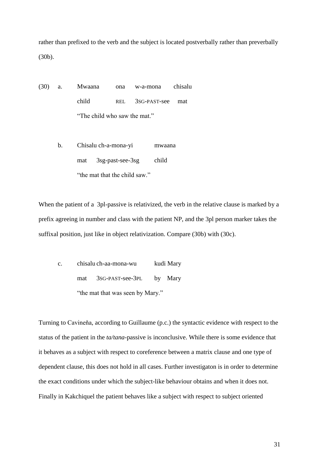rather than prefixed to the verb and the subject is located postverbally rather than preverbally (30b).

- (30) a. Mwaana ona w-a-mona chisalu child REL 3SG-PAST-see mat "The child who saw the mat."
	- b. Chisalu ch-a-mona-yi mwaana mat 3sg-past-see-3sg child "the mat that the child saw."

When the patient of a 3pl-passive is relativized, the verb in the relative clause is marked by a prefix agreeing in number and class with the patient NP, and the 3pl person marker takes the suffixal position, just like in object relativization. Compare (30b) with (30c).

c. chisalu ch-aa-mona-wu kudi Mary mat 3SG-PAST-see-3PL by Mary "the mat that was seen by Mary."

Turning to Cavineňa, according to Guillaume (p.c.) the syntactic evidence with respect to the status of the patient in the *ta/tana*-passive is inconclusive. While there is some evidence that it behaves as a subject with respect to coreference between a matrix clause and one type of dependent clause, this does not hold in all cases. Further investigaton is in order to determine the exact conditions under which the subject-like behaviour obtains and when it does not. Finally in Kakchiquel the patient behaves like a subject with respect to subject oriented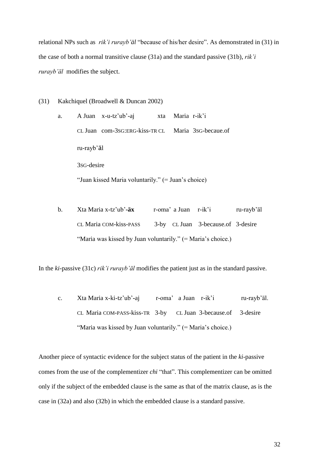relational NPs such as *rik'i rurayb'äl* "because of his/her desire". As demonstrated in (31) in the case of both a normal transitive clause (31a) and the standard passive (31b), *rik'i rurayb'äl* modifies the subject.

(31) Kakchiquel (Broadwell & Duncan 2002)

| а. |                         | A Juan $x$ -u-tz'ub'-aj                            | xta Maria r-ik'i                                   |  |
|----|-------------------------|----------------------------------------------------|----------------------------------------------------|--|
|    |                         |                                                    | CL Juan com-3sG:ERG-kiss-TR CL Maria 3sG-becaue.of |  |
|    | ru-rayb'äl              |                                                    |                                                    |  |
|    | 3s <sub>G</sub> -desire |                                                    |                                                    |  |
|    |                         | "Juan kissed Maria voluntarily." (= Juan's choice) |                                                    |  |

b. Xta Maria x-tz"ub"**-äx** r-oma" a Juan r-ik"i ru-rayb"äl CL Maria COM-kiss-PASS 3-by CL Juan 3-because.of 3-desire "Maria was kissed by Juan voluntarily."  $(=\text{Maria's choice.})$ 

In the *ki*-passive (31c) *rik'i rurayb'äl* modifies the patient just as in the standard passive.

c. Xta Maria x-ki-tz"ub"**-**aj r-oma" a Juan r-ik"i ru-rayb"äl. CL Maria COM-PASS-kiss-TR 3-by CL Juan 3-because.of 3-desire "Maria was kissed by Juan voluntarily." (= Maria's choice.)

Another piece of syntactic evidence for the subject status of the patient in the *ki*-passive comes from the use of the complementizer *chi* "that". This complementizer can be omitted only if the subject of the embedded clause is the same as that of the matrix clause, as is the case in (32a) and also (32b) in which the embedded clause is a standard passive.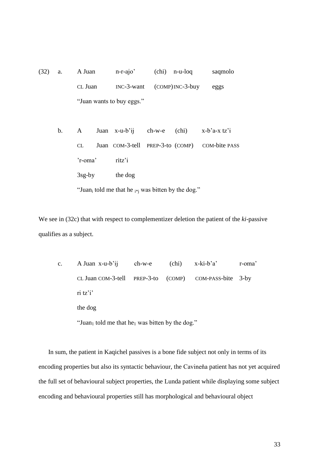(32) a. A Juan n-r-ajo" (chi) n-u-loq saqmolo CL Juan INC-3-want (COMP)INC-3-buy eggs "Juan wants to buy eggs."

b. A Juan x-u-b"ij ch-w-e (chi) x-b"a-x tz"i CL Juan COM-3-tell PREP-3-to (COMP) COM-bite PASS "r-oma" ritz"i 3sg-by the dog

"Juan<sub>i</sub> told me that he  $_{i*}$  was bitten by the dog."

We see in (32c) that with respect to complementizer deletion the patient of the *ki*-passive qualifies as a subject.

c. A Juan x-u-b"ij ch-w-e (chi) x-ki-b"a" r-oma" CL Juan COM-3-tell PREP-3-to (COMP) COM-PASS-bite 3-by ri tz'i' the dog

"Juan<sub>1</sub> told me that he<sub>1</sub> was bitten by the dog."

 In sum, the patient in Kaqichel passives is a bone fide subject not only in terms of its encoding properties but also its syntactic behaviour, the Cavineňa patient has not yet acquired the full set of behavioural subject properties, the Lunda patient while displaying some subject encoding and behavioural properties still has morphological and behavioural object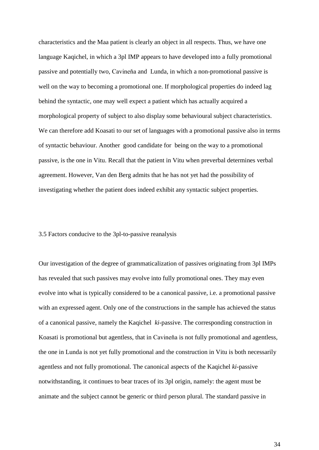characteristics and the Maa patient is clearly an object in all respects. Thus, we have one language Kaqichel, in which a 3pl IMP appears to have developed into a fully promotional passive and potentially two, Cavineňa and Lunda, in which a non-promotional passive is well on the way to becoming a promotional one. If morphological properties do indeed lag behind the syntactic, one may well expect a patient which has actually acquired a morphological property of subject to also display some behavioural subject characteristics. We can therefore add Koasati to our set of languages with a promotional passive also in terms of syntactic behaviour. Another good candidate for being on the way to a promotional passive, is the one in Vitu. Recall that the patient in Vitu when preverbal determines verbal agreement. However, Van den Berg admits that he has not yet had the possibility of investigating whether the patient does indeed exhibit any syntactic subject properties.

#### 3.5 Factors conducive to the 3pl-to-passive reanalysis

Our investigation of the degree of grammaticalization of passives originating from 3pl IMPs has revealed that such passives may evolve into fully promotional ones. They may even evolve into what is typically considered to be a canonical passive, i.e. a promotional passive with an expressed agent. Only one of the constructions in the sample has achieved the status of a canonical passive, namely the Kaqichel *ki*-passive. The corresponding construction in Koasati is promotional but agentless, that in Cavineňa is not fully promotional and agentless, the one in Lunda is not yet fully promotional and the construction in Vitu is both necessarily agentless and not fully promotional. The canonical aspects of the Kaqichel *ki*-passive notwithstanding, it continues to bear traces of its 3pl origin, namely: the agent must be animate and the subject cannot be generic or third person plural. The standard passive in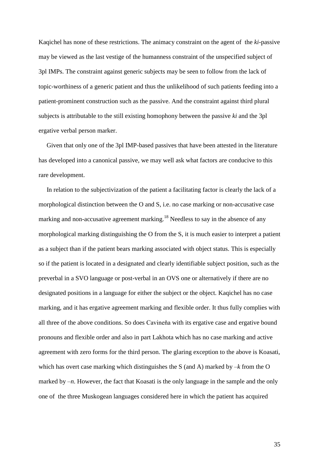Kaqichel has none of these restrictions. The animacy constraint on the agent of the *ki*-passive may be viewed as the last vestige of the humanness constraint of the unspecified subject of 3pl IMPs. The constraint against generic subjects may be seen to follow from the lack of topic-worthiness of a generic patient and thus the unlikelihood of such patients feeding into a patient-prominent construction such as the passive. And the constraint against third plural subjects is attributable to the still existing homophony between the passive *ki* and the 3pl ergative verbal person marker.

 Given that only one of the 3pl IMP-based passives that have been attested in the literature has developed into a canonical passive, we may well ask what factors are conducive to this rare development.

 In relation to the subjectivization of the patient a facilitating factor is clearly the lack of a morphological distinction between the O and S, i.e. no case marking or non-accusative case marking and non-accusative agreement marking.<sup>18</sup> Needless to say in the absence of any morphological marking distinguishing the O from the S, it is much easier to interpret a patient as a subject than if the patient bears marking associated with object status. This is especially so if the patient is located in a designated and clearly identifiable subject position, such as the preverbal in a SVO language or post-verbal in an OVS one or alternatively if there are no designated positions in a language for either the subject or the object. Kaqichel has no case marking, and it has ergative agreement marking and flexible order. It thus fully complies with all three of the above conditions. So does Cavineňa with its ergative case and ergative bound pronouns and flexible order and also in part Lakhota which has no case marking and active agreement with zero forms for the third person. The glaring exception to the above is Koasati, which has overt case marking which distinguishes the S (and A) marked by *–k* from the O marked by  $-n$ . However, the fact that Koasati is the only language in the sample and the only one of the three Muskogean languages considered here in which the patient has acquired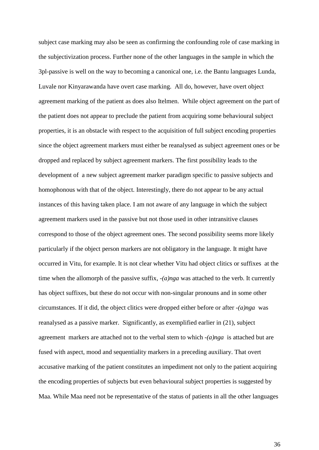subject case marking may also be seen as confirming the confounding role of case marking in the subjectivization process. Further none of the other languages in the sample in which the 3pl-passive is well on the way to becoming a canonical one, i.e. the Bantu languages Lunda, Luvale nor Kinyarawanda have overt case marking. All do, however, have overt object agreement marking of the patient as does also Itelmen. While object agreement on the part of the patient does not appear to preclude the patient from acquiring some behavioural subject properties, it is an obstacle with respect to the acquisition of full subject encoding properties since the object agreement markers must either be reanalysed as subject agreement ones or be dropped and replaced by subject agreement markers. The first possibility leads to the development of a new subject agreement marker paradigm specific to passive subjects and homophonous with that of the object. Interestingly, there do not appear to be any actual instances of this having taken place. I am not aware of any language in which the subject agreement markers used in the passive but not those used in other intransitive clauses correspond to those of the object agreement ones. The second possibility seems more likely particularly if the object person markers are not obligatory in the language. It might have occurred in Vitu, for example. It is not clear whether Vitu had object clitics or suffixes at the time when the allomorph of the passive suffix, *-(a)nga* was attached to the verb. It currently has object suffixes, but these do not occur with non-singular pronouns and in some other circumstances. If it did, the object clitics were dropped either before or after *-(a)nga* was reanalysed as a passive marker. Significantly, as exemplified earlier in (21), subject agreement markers are attached not to the verbal stem to which *-(a)nga* is attached but are fused with aspect, mood and sequentiality markers in a preceding auxiliary. That overt accusative marking of the patient constitutes an impediment not only to the patient acquiring the encoding properties of subjects but even behavioural subject properties is suggested by Maa. While Maa need not be representative of the status of patients in all the other languages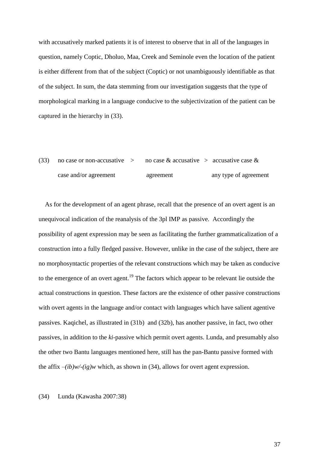with accusatively marked patients it is of interest to observe that in all of the languages in question, namely Coptic, Dholuo, Maa, Creek and Seminole even the location of the patient is either different from that of the subject (Coptic) or not unambiguously identifiable as that of the subject. In sum, the data stemming from our investigation suggests that the type of morphological marking in a language conducive to the subjectivization of the patient can be captured in the hierarchy in (33).

(33) no case or non-accusative  $\geq$  no case & accusative  $\geq$  accusative case & case and/or agreement agreement any type of agreement

 As for the development of an agent phrase, recall that the presence of an overt agent is an unequivocal indication of the reanalysis of the 3pl IMP as passive. Accordingly the possibility of agent expression may be seen as facilitating the further grammaticalization of a construction into a fully fledged passive. However, unlike in the case of the subject, there are no morphosyntactic properties of the relevant constructions which may be taken as conducive to the emergence of an overt agent.<sup>19</sup> The factors which appear to be relevant lie outside the actual constructions in question. These factors are the existence of other passive constructions with overt agents in the language and/or contact with languages which have salient agentive passives. Kaqichel, as illustrated in (31b) and (32b), has another passive, in fact, two other passives, in addition to the *ki*-passive which permit overt agents. Lunda, and presumably also the other two Bantu languages mentioned here, still has the pan-Bantu passive formed with the affix  $-(ib)w/(ig)w$  which, as shown in (34), allows for overt agent expression.

(34) Lunda (Kawasha 2007:38)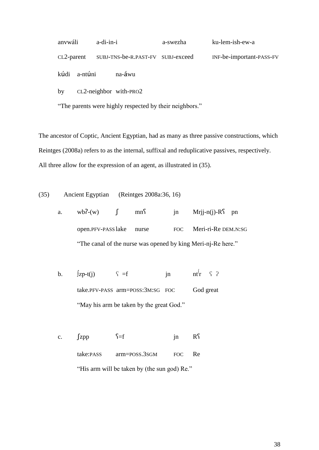| anvwáli      | a-di-in-i                                    | a-swezha | ku-lem-ish-ew-a          |
|--------------|----------------------------------------------|----------|--------------------------|
|              | CL2-parent SUBJ-TNS-be-R.PAST-FV SUBJ-exceed |          | INF-be-important-PASS-FV |
| kúdi a-ntúni | na-áwu                                       |          |                          |

by CL2-neighbor with-PRO2

"The parents were highly respected by their neighbors."

The ancestor of Coptic, Ancient Egyptian, had as many as three passive constructions, which Reintges (2008a) refers to as the internal, suffixal and reduplicative passives, respectively. All three allow for the expression of an agent, as illustrated in (35).

(35) Ancient Egyptian (Reintges 2008a:36, 16)

a. wb?-(w)  $\int$  mn $\int$  jn Mrjj-n(j)-R $\int$  pn open.PFV-PASS lake nurse FOC Meri-ri-Re DEM.N:SG "The canal of the nurse was opened by king Meri-nj-Re here."

- b.  $\int zp-t(i)$   $\zeta = f$  in  $ntr$   $\zeta$  ? take.PFV-PASS arm=POSS:3M:SG FOC God great "May his arm be taken by the great God."
- c.  $\int zpp$   $\int = f$  jn R take:PASS arm=POSS.3SGM FOC Re "His arm will be taken by (the sun god) Re."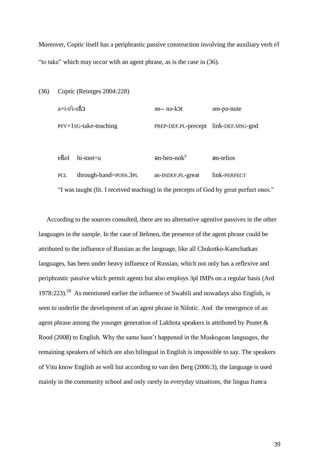Moreover, Coptic itself has a periphrastic passive construction involving the auxiliary verb *t* ʃ *i* "to take" which may occur with an agent phrase, as is the case in (36).

(36) Coptic (Reintges 2004:228) a=i-t ʃ ən-- nə-kət bam-pə-nute PFV=1SG-take-teaching PREP-DEF.PL-precept link-DEF.MSG-god  $e$ **S**ol hi-toot=u **a**n-hen-nok<sup>y</sup> ən-telios PCL through-hand=POSS.3PL as-INDEF.PL-great link-PERFECT

"I was taught (lit. I received teaching) in the precepts of God by great perfect ones."

 According to the sources consulted, there are no alternative agentive passives in the other languages in the sample. In the case of Itelmen, the presence of the agent phrase could be attributed to the influence of Russian as the language, like all Chukotko-Kamchatkan languages, has been under heavy influence of Russian, which not only has a reflexive and periphrastic passive which permit agents but also employs 3pl IMPs on a regular basis (Ard 1978:223).<sup>20</sup> As mentioned earlier the influence of Swahili and nowadays also English, is seen to underlie the development of an agent phrase in Nilotic. And the emergence of an agent phrase among the younger generation of Lakhota speakers is attributed by Pustet & Rood (2008) to English. Why the same hasn"t happened in the Muskogean languages, the remaining speakers of which are also bilingual in English is impossible to say. The speakers of Vitu know English as well but according to van den Berg (2006:3), the language is used mainly in the community school and only rarely in everyday situations, the lingua franca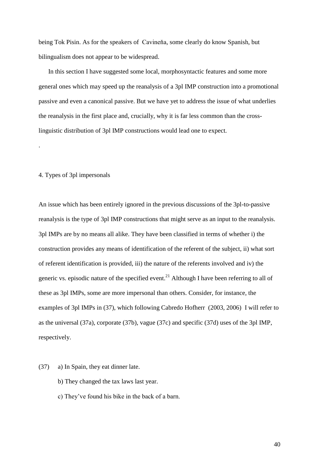being Tok Pisin. As for the speakers of Cavineňa, some clearly do know Spanish, but bilingualism does not appear to be widespread.

 In this section I have suggested some local, morphosyntactic features and some more general ones which may speed up the reanalysis of a 3pl IMP construction into a promotional passive and even a canonical passive. But we have yet to address the issue of what underlies the reanalysis in the first place and, crucially, why it is far less common than the crosslinguistic distribution of 3pl IMP constructions would lead one to expect.

## 4. Types of 3pl impersonals

.

An issue which has been entirely ignored in the previous discussions of the 3pl-to-passive reanalysis is the type of 3pl IMP constructions that might serve as an input to the reanalysis. 3pl IMPs are by no means all alike. They have been classified in terms of whether i) the construction provides any means of identification of the referent of the subject, ii) what sort of referent identification is provided, iii) the nature of the referents involved and iv) the generic vs. episodic nature of the specified event.<sup>21</sup> Although I have been referring to all of these as 3pl IMPs, some are more impersonal than others. Consider, for instance, the examples of 3pl IMPs in (37), which following Cabredo Hofherr (2003, 2006) I will refer to as the universal (37a), corporate (37b), vague (37c) and specific (37d) uses of the 3pl IMP, respectively.

- (37) a) In Spain, they eat dinner late.
	- b) They changed the tax laws last year.
	- c) They"ve found his bike in the back of a barn.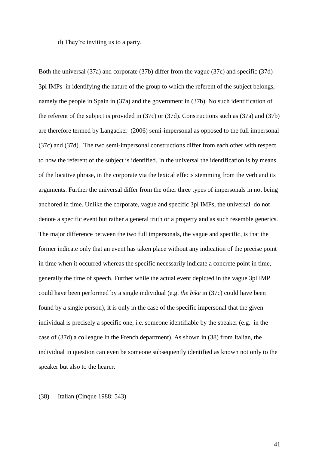d) They"re inviting us to a party.

Both the universal (37a) and corporate (37b) differ from the vague (37c) and specific (37d) 3pl IMPs in identifying the nature of the group to which the referent of the subject belongs, namely the people in Spain in (37a) and the government in (37b). No such identification of the referent of the subject is provided in (37c) or (37d). Constructions such as (37a) and (37b) are therefore termed by Langacker (2006) semi-impersonal as opposed to the full impersonal (37c) and (37d). The two semi-impersonal constructions differ from each other with respect to how the referent of the subject is identified. In the universal the identification is by means of the locative phrase, in the corporate via the lexical effects stemming from the verb and its arguments. Further the universal differ from the other three types of impersonals in not being anchored in time. Unlike the corporate, vague and specific 3pl IMPs, the universal do not denote a specific event but rather a general truth or a property and as such resemble generics. The major difference between the two full impersonals, the vague and specific, is that the former indicate only that an event has taken place without any indication of the precise point in time when it occurred whereas the specific necessarily indicate a concrete point in time, generally the time of speech. Further while the actual event depicted in the vague 3pl IMP could have been performed by a single individual (e.g. *the bike* in (37c) could have been found by a single person), it is only in the case of the specific impersonal that the given individual is precisely a specific one, i.e. someone identifiable by the speaker (e.g. in the case of (37d) a colleague in the French department). As shown in (38) from Italian, the individual in question can even be someone subsequently identified as known not only to the speaker but also to the hearer.

(38) Italian (Cinque 1988: 543)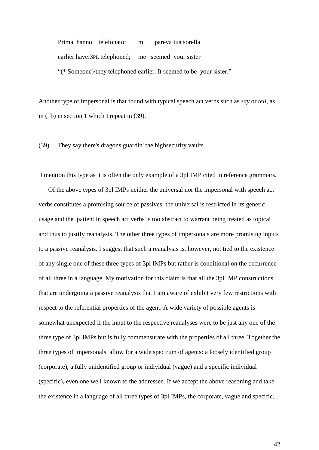Prima hanno telefonato; mi pareva tua sorella earlier have:3PL telephoned; me seemed your sister "(\* Someone)/they telephoned earlier. It seemed to be your sister."

Another type of impersonal is that found with typical speech act verbs such as *say* or *tell,* as in (1b) in section 1 which I repeat in (39).

(39) They say there's dragons guardin' the highsecurity vaults.

I mention this type as it is often the only example of a 3pl IMP cited in reference grammars.

 Of the above types of 3pl IMPs neither the universal nor the impersonal with speech act verbs constitutes a promising source of passives; the universal is restricted in its generic usage and the patient in speech act verbs is too abstract to warrant being treated as topical and thus to justify reanalysis. The other three types of impersonals are more promising inputs to a passive reanalysis. I suggest that such a reanalysis is, however, not tied to the existence of any single one of these three types of 3pl IMPs but rather is conditional on the occurrence of all three in a language. My motivation for this claim is that all the 3pl IMP constructions that are undergoing a passive reanalysis that I am aware of exhibit very few restrictions with respect to the referential properties of the agent. A wide variety of possible agents is somewhat unexpected if the input to the respective reanalyses were to be just any one of the three type of 3pl IMPs but is fully commensurate with the properties of all three. Together the three types of impersonals allow for a wide spectrum of agents: a loosely identified group (corporate), a fully unidentified group or individual (vague) and a specific individual (specific), even one well known to the addressee. If we accept the above reasoning and take the existence in a language of all three types of 3pl IMPs, the corporate, vague and specific,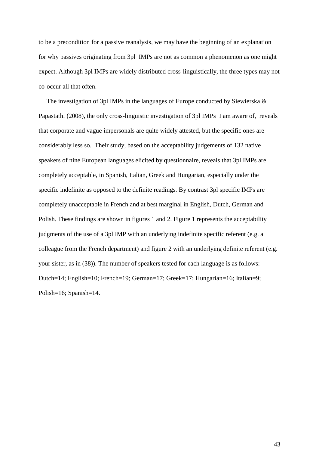to be a precondition for a passive reanalysis, we may have the beginning of an explanation for why passives originating from 3pl IMPs are not as common a phenomenon as one might expect. Although 3pl IMPs are widely distributed cross-linguistically, the three types may not co-occur all that often.

 The investigation of 3pl IMPs in the languages of Europe conducted by Siewierska & Papastathi (2008), the only cross-linguistic investigation of 3pl IMPs I am aware of, reveals that corporate and vague impersonals are quite widely attested, but the specific ones are considerably less so. Their study, based on the acceptability judgements of 132 native speakers of nine European languages elicited by questionnaire, reveals that 3pl IMPs are completely acceptable, in Spanish, Italian, Greek and Hungarian, especially under the specific indefinite as opposed to the definite readings. By contrast 3pl specific IMPs are completely unacceptable in French and at best marginal in English, Dutch, German and Polish. These findings are shown in figures 1 and 2. Figure 1 represents the acceptability judgments of the use of a 3pl IMP with an underlying indefinite specific referent (e.g. a colleague from the French department) and figure 2 with an underlying definite referent (e.g. your sister, as in (38)). The number of speakers tested for each language is as follows: Dutch=14; English=10; French=19; German=17; Greek=17; Hungarian=16; Italian=9; Polish=16; Spanish=14.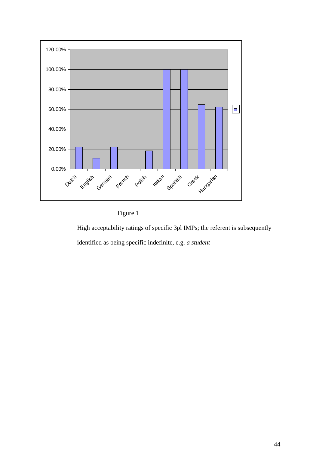



High acceptability ratings of specific 3pl IMPs; the referent is subsequently identified as being specific indefinite, e.g. *a student*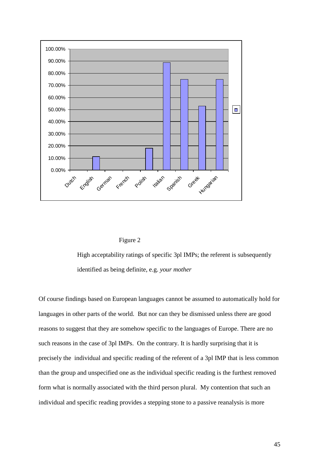



High acceptability ratings of specific 3pl IMPs; the referent is subsequently identified as being definite, e.g. *your mother*

0.00% and the second of the set of the set of the set of the set of the set of the set of the set of the set of the set of the set of the set of the set of the set of the set of the set of the set of the set of the set of Of course findings based on European languages cannot be assumed to automatically hold for languages in other parts of the world. But nor can they be dismissed unless there are good reasons to suggest that they are somehow specific to the languages of Europe. There are no such reasons in the case of 3pl IMPs. On the contrary. It is hardly surprising that it is precisely the individual and specific reading of the referent of a 3pl IMP that is less common than the group and unspecified one as the individual specific reading is the furthest removed form what is normally associated with the third person plural. My contention that such an individual and specific reading provides a stepping stone to a passive reanalysis is more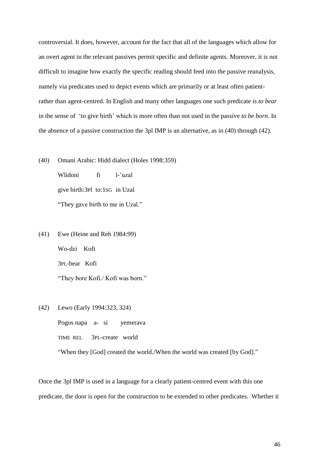controversial. It does, however, account for the fact that all of the languages which allow for an overt agent in the relevant passives permit specific and definite agents. Moreover, it is not difficult to imagine how exactly the specific reading should feed into the passive reanalysis, namely via predicates used to depict events which are primarily or at least often patientrather than agent-centred. In English and many other languages one such predicate is *to bear* in the sense of 'to give birth' which is more often than not used in the passive *to be born*. In the absence of a passive construction the 3pl IMP is an alternative, as in (40) through (42).

- (40) Omani Arabic: Hidd dialect (Holes 1998:359) Wlidoni fi l-'uzal give birth:3Pl to:1SG in Uzal "They gave birth to me in Uzal."
- (41) Ewe (Heine and Reh 1984:99) Wo-dzi Kofi 3PL-bear Kofi "They bore Kofi./ Kofi was born."
- (42) Lewo (Early 1994:323, 324)

Pogos napa a- si yemerava TIME REL 3PL-create world "When they [God] created the world./When the world was created [by God]."

Once the 3pl IMP is used in a language for a clearly patient-centred event with this one predicate, the door is open for the construction to be extended to other predicates. Whether it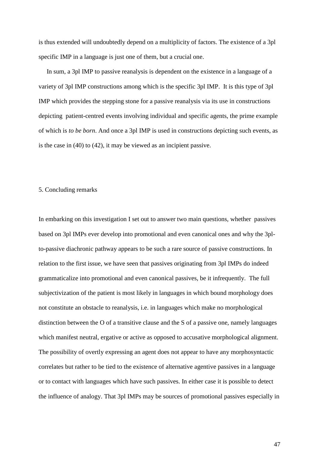is thus extended will undoubtedly depend on a multiplicity of factors. The existence of a 3pl specific IMP in a language is just one of them, but a crucial one.

 In sum, a 3pl IMP to passive reanalysis is dependent on the existence in a language of a variety of 3pl IMP constructions among which is the specific 3pl IMP. It is this type of 3pl IMP which provides the stepping stone for a passive reanalysis via its use in constructions depicting patient-centred events involving individual and specific agents, the prime example of which is *to be born*. And once a 3pl IMP is used in constructions depicting such events, as is the case in (40) to (42), it may be viewed as an incipient passive.

## 5. Concluding remarks

In embarking on this investigation I set out to answer two main questions, whether passives based on 3pl IMPs ever develop into promotional and even canonical ones and why the 3plto-passive diachronic pathway appears to be such a rare source of passive constructions. In relation to the first issue, we have seen that passives originating from 3pl IMPs do indeed grammaticalize into promotional and even canonical passives, be it infrequently. The full subjectivization of the patient is most likely in languages in which bound morphology does not constitute an obstacle to reanalysis, i.e. in languages which make no morphological distinction between the O of a transitive clause and the S of a passive one, namely languages which manifest neutral, ergative or active as opposed to accusative morphological alignment. The possibility of overtly expressing an agent does not appear to have any morphosyntactic correlates but rather to be tied to the existence of alternative agentive passives in a language or to contact with languages which have such passives. In either case it is possible to detect the influence of analogy. That 3pl IMPs may be sources of promotional passives especially in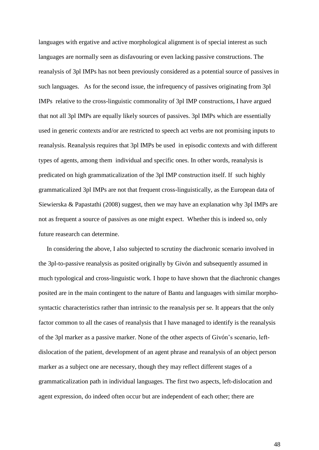languages with ergative and active morphological alignment is of special interest as such languages are normally seen as disfavouring or even lacking passive constructions. The reanalysis of 3pl IMPs has not been previously considered as a potential source of passives in such languages. As for the second issue, the infrequency of passives originating from 3pl IMPs relative to the cross-linguistic commonality of 3pl IMP constructions, I have argued that not all 3pl IMPs are equally likely sources of passives. 3pl IMPs which are essentially used in generic contexts and/or are restricted to speech act verbs are not promising inputs to reanalysis. Reanalysis requires that 3pl IMPs be used in episodic contexts and with different types of agents, among them individual and specific ones. In other words, reanalysis is predicated on high grammaticalization of the 3pl IMP construction itself. If such highly grammaticalized 3pl IMPs are not that frequent cross-linguistically, as the European data of Siewierska & Papastathi (2008) suggest, then we may have an explanation why 3pl IMPs are not as frequent a source of passives as one might expect. Whether this is indeed so, only future reasearch can determine.

 In considering the above, I also subjected to scrutiny the diachronic scenario involved in the 3pl-to-passive reanalysis as posited originally by Givón and subsequently assumed in much typological and cross-linguistic work. I hope to have shown that the diachronic changes posited are in the main contingent to the nature of Bantu and languages with similar morphosyntactic characteristics rather than intrinsic to the reanalysis per se. It appears that the only factor common to all the cases of reanalysis that I have managed to identify is the reanalysis of the 3pl marker as a passive marker. None of the other aspects of Givón"s scenario, leftdislocation of the patient, development of an agent phrase and reanalysis of an object person marker as a subject one are necessary, though they may reflect different stages of a grammaticalization path in individual languages. The first two aspects, left-dislocation and agent expression, do indeed often occur but are independent of each other; there are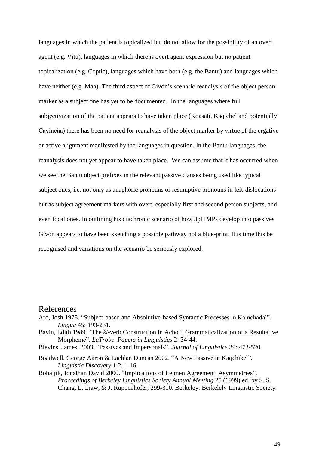languages in which the patient is topicalized but do not allow for the possibility of an overt agent (e.g. Vitu), languages in which there is overt agent expression but no patient topicalization (e.g. Coptic), languages which have both (e.g. the Bantu) and languages which have neither (e.g. Maa). The third aspect of Givón's scenario reanalysis of the object person marker as a subject one has yet to be documented. In the languages where full subjectivization of the patient appears to have taken place (Koasati, Kaqichel and potentially Cavineňa) there has been no need for reanalysis of the object marker by virtue of the ergative or active alignment manifested by the languages in question. In the Bantu languages, the reanalysis does not yet appear to have taken place. We can assume that it has occurred when we see the Bantu object prefixes in the relevant passive clauses being used like typical subject ones, i.e. not only as anaphoric pronouns or resumptive pronouns in left-dislocations but as subject agreement markers with overt, especially first and second person subjects, and even focal ones. In outlining his diachronic scenario of how 3pl IMPs develop into passives Givón appears to have been sketching a possible pathway not a blue-print. It is time this be recognised and variations on the scenario be seriously explored.

## References

- Ard, Josh 1978. "Subject-based and Absolutive-based Syntactic Processes in Kamchadal". *Lingua* 45: 193-231.
- Bavin, Edith 1989. "The *ki*-verb Construction in Acholi. Grammaticalization of a Resultative Morpheme". *LaTrobe Papers in Linguistics* 2: 34-44.
- Blevins, James. 2003. "Passives and Impersonals". *Journal of Linguistics* 39: 473-520.
- Boadwell, George Aaron & Lachlan Duncan 2002. "A New Passive in Kaqchikel". *Linguistic Discovery* 1:2. 1-16.
- Bobaljik, Jonathan David 2000. "Implications of Itelmen Agreement Asymmetries". *Proceedings of Berkeley Linguistics Society Annual Meeting* 25 (1999) ed. by S. S. Chang, L. Liaw, & J. Ruppenhofer, 299-310. Berkeley: Berkelely Linguistic Society.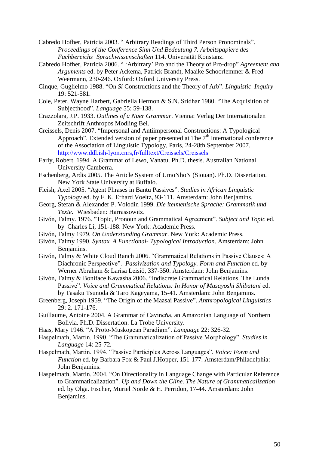- Cabredo Hofher, Patricia 2003. " Arbitrary Readings of Third Person Pronominals". *Proceedings of the Conference Sinn Und Bedeutung 7. Arbeitspapiere des Fachbereichs Sprachwissenschaften* 114. Universität Konstanz.
- Cabredo Hofher, Patricia 2006. " "Arbitrary" Pro and the Theory of Pro-drop" *Agreement and Arguments* ed. by Peter Ackema, Patrick Brandt, Maaike Schoorlemmer & Fred Weermann, 230-246. Oxford: Oxford University Press.
- Cinque, Guglielmo 1988. "On *Si* Constructions and the Theory of Arb". *Linguistic Inquiry* 19: 521-581.
- Cole, Peter, Wayne Harbert, Gabriella Hermon & S.N. Sridhar 1980. "The Acquisition of Subjecthood". *Language* 55: 59-138.
- Crazzolara, J.P. 1933. *Outlines of a Nuer Grammar*. Vienna: Verlag Der Internationalen Zeitschrift Anthropos Modling Bei.
- Creissels, Denis 2007. "Impersonal and Antiimpersonal Constructions: A Typological Approach". Extended version of paper presented at The  $7<sup>th</sup>$  International conference of the Association of Linguistic Typology, Paris, 24-28th September 2007. <http://www.ddl.ish-lyon.cnrs,fr/fulltext/Creissels/Creissels>
- Early, Robert. 1994. A Grammar of Lewo, Vanatu. Ph.D. thesis. Australian National University Camberra.
- Eschenberg, Ardis 2005. The Article System of UmoNhoN (Siouan). Ph.D. Dissertation. New York State University at Buffalo.
- Fleish, Axel 2005. "Agent Phrases in Bantu Passives". *Studies in African Linguistic Typology* ed. by F. K. Erhard Voeltz, 93-111. Amsterdam: John Benjamins.
- Georg, Stefan & Alexander P. Volodin 1999. *Die itelmenische Sprache: Grammatik und Texte*. Wiesbaden: Harrassowitz.
- Givón, Talmy. 1976. "Topic, Pronoun and Grammatical Agreement". *Subject and Topic* ed. by Charles Li, 151-188. New York: Academic Press.
- Givón, Talmy 1979. *On Understanding Grammar*. New York: Academic Press.
- Givón, Talmy 1990. *Syntax. A Functional- Typological Introduction*. Amsterdam: John Benjamins.
- Givón, Talmy & White Cloud Ranch 2006. "Grammatical Relations in Passive Clauses: A Diachronic Perspective". *Passivization and Typology. Form and Function* ed. by Werner Abraham & Larisa Leisiö, 337-350. Amsterdam: John Benjamins.
- Givón, Talmy & Boniface Kawasha 2006. "Indiscrete Grammatical Relations. The Lunda Passive". *Voice and Grammatical Relations: In Honor of Masayoshi Shibatani* ed. by Tasaku Tsunoda & Taro Kageyama, 15-41. Amsterdam: John Benjamins.
- Greenberg, Joseph 1959. "The Origin of the Maasai Passive". *Anthropological Linguistics* 29: 2. 171-176.
- Guillaume, Antoine 2004. A Grammar of Cavineňa, an Amazonian Language of Northern Bolivia. Ph.D. Dissertation. La Trobe University.
- Haas, Mary 1946. "A Proto-Muskogean Paradigm". *Language* 22: 326-32.
- Haspelmath, Martin. 1990. "The Grammaticalization of Passive Morphology". *Studies in Language* 14: 25-72*.*
- Haspelmath, Martin. 1994. "Passive Participles Across Languages". *Voice: Form and Function* ed. by Barbara Fox & Paul J.Hopper, 151-177. Amsterdam/Philadelphia: John Benjamins.
- Haspelmath, Martin. 2004. "On Directionality in Language Change with Particular Reference to Grammaticalization". *Up and Down the Cline. The Nature of Grammaticalization* ed. by Olga. Fischer, Muriel Norde & H. Perridon, 17-44. Amsterdam: John Benjamins.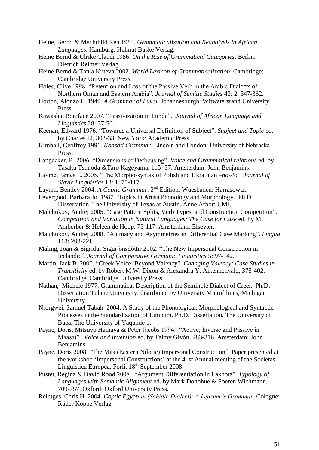- Heine, Bernd & Mechthild Reh 1984*. Grammaticalization and Reanalysis in African Languages.* Hamburg: Helmut Buske Verlag.
- Heine Bernd & Ulrike Claudi 1986. *On the Rise of Grammatical Categories*. Berlin: Dietrich Reimer Verlag.
- Heine Bernd & Tania Kuteva 2002. *World Lexicon of Grammaticalization*. Cambridge: Cambridge University Press.
- Holes, Clive 1998. "Retention and Loss of the Passive Verb in the Arabic Dialects of Northern Oman and Eastern Arabia". *Journal of Semitic Studies* 43: 2. 347-362.
- Horton, Alonzo E. 1949. *A Grammar of Luval*. Johannesburgh: Witwatersrand University Press.
- Kawasha, Boniface 2007. "Passivization in Lunda". *Journal of African Language and Linguistics* 28: 37-56.
- Keenan, Edward 1976. "Towards a Universal Definition of Subject". *Subject and Topic* ed. by Charles Li, 303-33. New York: Academic Press.
- Kimball, Geoffrey 1991. *Koasati Grammar*. Lincoln and London: University of Nebraska Press.
- Langacker, R. 2006. "Dimensions of Defocusing". *Voice and Grammatical relations* ed. by Tasaku Tsunoda &Taro Kageyama, 115- 37. Amsterdam: John Benjamins.
- Lavine, James E. 2005. "The Morpho-syntax of Polish and Ukrainian –*no-/to*". *Journal of Slavic Linguistics* 13: 1. 75-117.
- Layton, Bentley 2004. *A Coptic Grammar*. 2<sup>nd</sup> Edition. Wuesbaden: Harrasowtz.
- Levergood, Barbara Jo 1987. Topics in Arusa Phonology and Morphology. Ph.D. Dissertation. The University of Texas at Austin. Anne Arbor: UMI.
- Malchukov, Andrej 2005. "Case Pattern Splits, Verb Types, and Construction Competition". *Competition and Variation in Natural Languages: The Case for Case* ed. by M. Amberber & Heleen de Hoop, 73-117. Amsterdam: Elsevier.
- Malchukov, Andrej 2008. "Animacy and Asymmetries in Differential Case Marking". *Lingua* 118: 203-221.
- Maling, Joan & Sigriđur Sigurjònsdòttir 2002. "The New Impersonal Construction in Icelandic". *Journal of Comparative Germanic Linguistics* 5: 97-142.
- Martin, Jack B. 2000. "Creek Voice: Beyond Valency". *Changing Valency: Case Studies in Transitivity* ed. by Robert M.W. Dixon & Alexandra Y. Aikenhenvald, 375-402. Cambridge: Cambridge University Press.
- Nathan, Michele 1977. Grammatical Description of the Seminole Dialect of Creek. Ph.D. Dissertation Tulane University: distributed by University Microfilmes, Michigan University.
- Nforgwei, Samuel Tabah 2004. A Study of the Phonological, Morphological and Syntactic Processes in the Standardization of Limbum. Ph.D. Dissertation, The University of Buea, The University of Yaqunde 1.
- Payne, Doris, Mitsuyo Hamaya & Peter Jacobs 1994. "Active, Inverse and Passive in Maasai". *Voice and Inversion* ed. by Talmy Givón, 283-316. Amsterdam: John Benjamins.
- Payne, Doris 2008. "The Maa (Eastern Nilotic) Impersonal Construction". Paper presented at the workshop "Impersonal Constructions" at the 41st Annual meeting of the Societas Linguistica Europea, Forli, 18<sup>th</sup> September 2008.
- Pustet, Regina & David Rood 2008. "Argument Differentiation in Lakhota". *Typology of Languages with Semantic Alignment* ed. by Mark Donohue & Soeren Wichmann, 709-757. Oxford: Oxford University Press.
- Reintges, Chris H. 2004. *Coptic Egyptian (Sahidic Dialect): A Learner's Grammar*. Cologne: Rüder Köppe Verlag.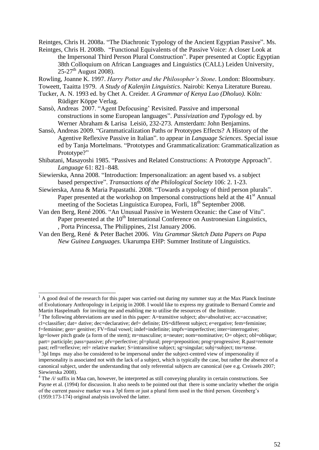Reintges, Chris H. 2008a. "The Diachronic Typology of the Ancient Egyptian Passive". Ms.

Reintges, Chris H. 2008b. "Functional Equivalents of the Passive Voice: A closer Look at the Impersonal Third Person Plural Construction". Paper presented at Coptic Egyptian 38th Colloquium on African Languages and Linguistics (CALL) Leiden University,  $25-27$ <sup>th</sup> August 2008).

Rowling, Joanne K. 1997. *Harry Potter and the Philosopher's Stone*. London: Bloomsbury.

Toweett, Taaitta 1979. *A Study of Kalenjin Linguistics*. Nairobi: Kenya Literature Bureau.

- Tucker, A. N. 1993 ed. by Chet A. Creider*. A Grammar of Kenya Luo (Dholuo).* Köln*:*  Rüdiger Köppe Verlag*.*
- Sansò, Andreas 2007. "Agent Defocusing' Revisited. Passive and impersonal constructions in some European languages". *Passivization and Typology* ed. by Werner Abraham & Larisa Leisiö, 232-273. Amsterdam: John Benjamins.
- Sansò, Andreas 2009. "Grammaticalization Paths or Prototypes Effects? A History of the Agentive Reflexive Passive in Italian". to appear in *Language Sciences*. Special issue ed by Tanja Mortelmans. "Prototypes and Grammaticalization: Grammaticalization as Prototype?"
- Shibatani, Masayoshi 1985. "Passives and Related Constructions: A Prototype Approach". *Language* 61: 821–848*.*
- Siewierska, Anna 2008. "Introduction: Impersonalization: an agent based vs. a subject based perspective". *Transactions of the Philological Society* 106: 2. 1-23.
- Siewierska, Anna & Maria Papastathi. 2008. "Towards a typology of third person plurals". Paper presented at the workshop on Impersonal constructions held at the  $41<sup>st</sup>$  Annual meeting of the Societas Linguistica Europea, Forli, 18<sup>th</sup> September 2008.
- Van den Berg, René 2006. "An Unusual Passive in Western Oceanic: the Case of Vitu". Paper presented at the  $10<sup>th</sup>$  International Conference on Austronesian Linguistics, , Porta Princessa, The Philippines, 21st January 2006.
- Van den Berg, René & Peter Bachet 2006. *Vitu Grammar Sketch Data Papers on Papa New Guinea Languages.* Ukarumpa EHP: Summer Institute of Linguistics.

1

past; refl=reflexive; rel= relative marker; S=intransitive subject; sg=singular; subj=subject; tns=tense. 3 3pl Imps may also be considered to be impersonal under the subject-centred view of impersonality if

 $<sup>1</sup>$  A good deal of the research for this paper was carried out during my summer stay at the Max Planck Institute</sup> of Evolutionary Anthropology in Leipzig in 2008. I would like to express my gratitude to Bernard Comrie and Martin Haspelmath for inviting me and enabling me to utilise the resources of the Institute.

<sup>&</sup>lt;sup>2</sup> The following abbreviations are used in this paper: A=transitive subject; abs=absolutive; acc=accusative; cl=classifier; dat= dative; dec=declarative; def= definite; DS=different subject; e=ergative; fem=feminine; f=feminine; gen= genitive; FV=final vowel; indef=indefinite; impfv=imperfective; inter=interrogative; lgr=lower pitch grade (a form of the stem); m=masculine; n=neuter; nom=nominative; O= object; obl=oblique; part= participle; pass=passive; pfv=perfective; pl=plural; prep=preposition; prog=progressive; R.past=remote

impersonality is associated not with the lack of a subject, which is typically the case, but rather the absence of a canonical subject, under the understanding that only referential subjects are canonical (see e.g. Creissels 2007; Siewierska 2008).

<sup>&</sup>lt;sup>4</sup> The /i/ suffix in Maa can, however, be interpreted as still conveying plurality in certain constructions. See Payne et al. (1994) for discussion. It also needs to be pointed out that there is some unclarity whether the origin of the current passive marker was a 3pl form or just a plural form used in the third person. Greenberg"s (1959:173-174) original analysis involved the latter.